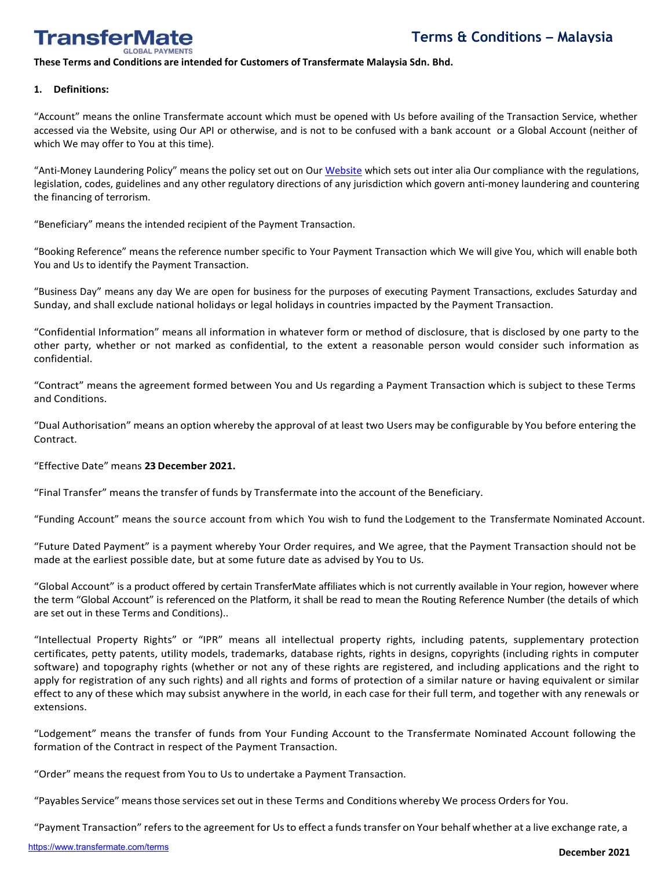#### **These Terms and Conditions are intended for Customers of Transfermate Malaysia Sdn. Bhd.**

#### **1. Definitions:**

"Account" means the online Transfermate account which must be opened with Us before availing of the Transaction Service, whether accessed via the Website, using Our API or otherwise, and is not to be confused with a bank account or a Global Account (neither of which We may offer to You at this time).

"Anti-Money Laundering Policy" means the policy set out on O[ur Website](https://www.transfermate.com/aml-policy/) which sets out inter alia Our compliance with the regulations, legislation, codes, guidelines and any other regulatory directions of any jurisdiction which govern anti-money laundering and countering the financing of terrorism.

"Beneficiary" means the intended recipient of the Payment Transaction.

"Booking Reference" means the reference number specific to Your Payment Transaction which We will give You, which will enable both You and Us to identify the Payment Transaction.

"Business Day" means any day We are open for business for the purposes of executing Payment Transactions, excludes Saturday and Sunday, and shall exclude national holidays or legal holidays in countries impacted by the Payment Transaction.

"Confidential Information" means all information in whatever form or method of disclosure, that is disclosed by one party to the other party, whether or not marked as confidential, to the extent a reasonable person would consider such information as confidential.

"Contract" means the agreement formed between You and Us regarding a Payment Transaction which is subject to these Terms and Conditions.

"Dual Authorisation" means an option whereby the approval of at least two Users may be configurable by You before entering the Contract.

"Effective Date" means **23 December 2021.**

"Final Transfer" means the transfer of funds by Transfermate into the account of the Beneficiary.

"Funding Account" means the source account from which You wish to fund the Lodgement to the Transfermate Nominated Account.

"Future Dated Payment" is a payment whereby Your Order requires, and We agree, that the Payment Transaction should not be made at the earliest possible date, but at some future date as advised by You to Us.

"Global Account" is a product offered by certain TransferMate affiliates which is not currently available in Your region, however where the term "Global Account" is referenced on the Platform, it shall be read to mean the Routing Reference Number (the details of which are set out in these Terms and Conditions)..

"Intellectual Property Rights" or "IPR" means all intellectual property rights, including patents, supplementary protection certificates, petty patents, utility models, trademarks, database rights, rights in designs, copyrights (including rights in computer software) and topography rights (whether or not any of these rights are registered, and including applications and the right to apply for registration of any such rights) and all rights and forms of protection of a similar nature or having equivalent or similar effect to any of these which may subsist anywhere in the world, in each case for their full term, and together with any renewals or extensions.

"Lodgement" means the transfer of funds from Your Funding Account to the Transfermate Nominated Account following the formation of the Contract in respect of the Payment Transaction.

"Order" means the request from You to Us to undertake a Payment Transaction.

"Payables Service" meansthose servicesset out in these Terms and Conditions whereby We process Orders for You.

"Payment Transaction" refers to the agreement for Usto effect a funds transfer on Your behalf whether at a live exchange rate, a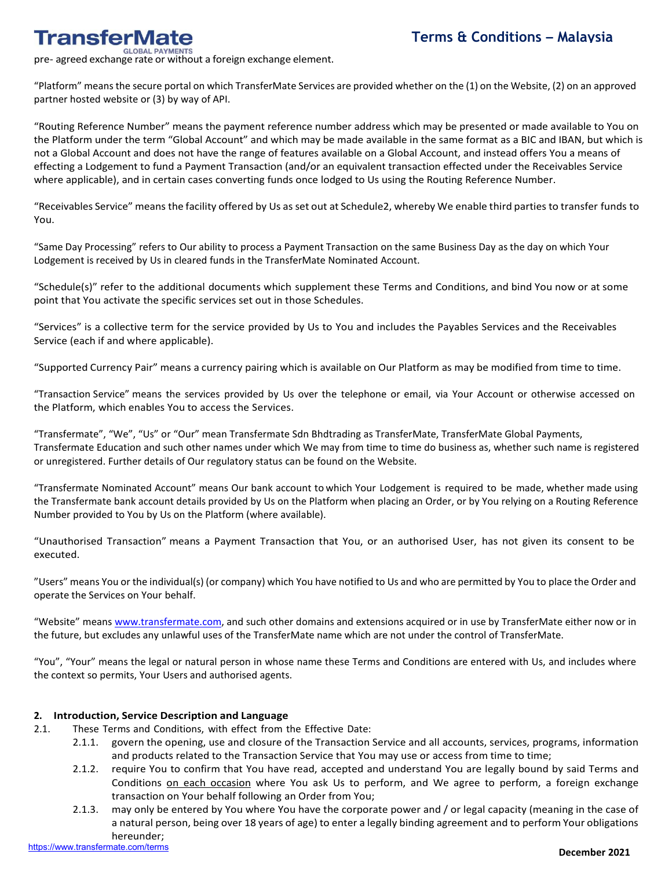pre- agreed exchange rate or without a foreign exchange element.

"Platform" meansthe secure portal on which TransferMate Services are provided whether on the (1) on the Website, (2) on an approved partner hosted website or (3) by way of API.

"Routing Reference Number" means the payment reference number address which may be presented or made available to You on the Platform under the term "Global Account" and which may be made available in the same format as a BIC and IBAN, but which is not a Global Account and does not have the range of features available on a Global Account, and instead offers You a means of effecting a Lodgement to fund a Payment Transaction (and/or an equivalent transaction effected under the Receivables Service where applicable), and in certain cases converting funds once lodged to Us using the Routing Reference Number.

"Receivables Service" means the facility offered by Us as set out at Schedule2, whereby We enable third parties to transfer funds to You.

"Same Day Processing" refers to Our ability to process a Payment Transaction on the same Business Day as the day on which Your Lodgement is received by Us in cleared funds in the TransferMate Nominated Account.

"Schedule(s)" refer to the additional documents which supplement these Terms and Conditions, and bind You now or at some point that You activate the specific services set out in those Schedules.

"Services" is a collective term for the service provided by Us to You and includes the Payables Services and the Receivables Service (each if and where applicable).

"Supported Currency Pair" means a currency pairing which is available on Our Platform as may be modified from time to time.

"Transaction Service" means the services provided by Us over the telephone or email, via Your Account or otherwise accessed on the Platform, which enables You to access the Services.

"Transfermate", "We", "Us" or "Our" mean Transfermate Sdn Bhdtrading as TransferMate, TransferMate Global Payments, Transfermate Education and such other names under which We may from time to time do business as, whether such name is registered or unregistered. Further details of Our regulatory status can be found on the Website.

"Transfermate Nominated Account" means Our bank account to which Your Lodgement is required to be made, whether made using the Transfermate bank account details provided by Us on the Platform when placing an Order, or by You relying on a Routing Reference Number provided to You by Us on the Platform (where available).

"Unauthorised Transaction" means a Payment Transaction that You, or an authorised User, has not given its consent to be executed.

"Users" means You or the individual(s) (or company) which You have notified to Us and who are permitted by You to place the Order and operate the Services on Your behalf.

"Website" means [www.transfermate.com,](http://www.transfermate.com/) and such other domains and extensions acquired or in use by TransferMate either now or in the future, but excludes any unlawful uses of the TransferMate name which are not under the control of TransferMate.

"You", "Your" means the legal or natural person in whose name these Terms and Conditions are entered with Us, and includes where the context so permits, Your Users and authorised agents.

#### **2. Introduction, Service Description and Language**

- 2.1. These Terms and Conditions, with effect from the Effective Date:
	- 2.1.1. govern the opening, use and closure of the Transaction Service and all accounts, services, programs, information and products related to the Transaction Service that You may use or access from time to time;
	- 2.1.2. require You to confirm that You have read, accepted and understand You are legally bound by said Terms and Conditions on each occasion where You ask Us to perform, and We agree to perform, a foreign exchange transaction on Your behalf following an Order from You;
- <https://www.transfermate.com/terms> **December 2021** 2.1.3. may only be entered by You where You have the corporate power and / or legal capacity (meaning in the case of a natural person, being over 18 years of age) to enter a legally binding agreement and to perform Your obligations hereunder;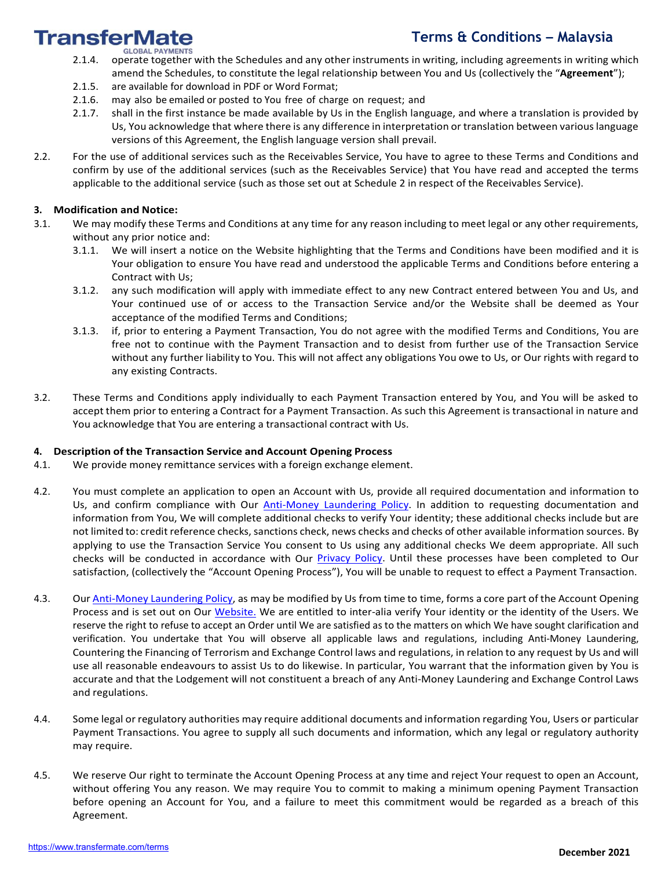## **Terms & Conditions – Malaysia**

- 2.1.4. operate together with the Schedules and any other instruments in writing, including agreements in writing which amend the Schedules, to constitute the legal relationship between You and Us (collectively the "**Agreement**");
- 2.1.5. are available for download in PDF or Word Format;
- 2.1.6. may also be emailed or posted to You free of charge on request; and
- 2.1.7. shall in the first instance be made available by Us in the English language, and where a translation is provided by Us, You acknowledge that where there is any difference in interpretation or translation between various language versions of this Agreement, the English language version shall prevail.
- 2.2. [For the use of additional s](https://www.transfermate.com/en/anti_money_laundering_policy.html)ervices such as the Receivables Service, You have to agree to these Terms and Conditions and confirm by use of the additional services (such as the Receivables Service) that You have read and accepted the terms applicable to the additional service (such as those set out at Schedule 2 in respect of the Receivables Service).

### **3. Modification and Notice:**

- 3.1. We may modify these Terms and Conditions at any time for any reason including to meet legal or any other requirements, without any prior notice and:
	- 3.1.1. We will insert a notice on the Website highlighting that the Terms and Conditions have been modified and it is Your obligation to ensure You have read and understood the applicable Terms and Conditions before entering a Contract with Us;
	- 3.1.2. any such modification will apply with immediate effect to any new Contract entered between You and Us, and Your continued use of or access to the Transaction Service and/or the Website shall be deemed as Your acceptance of the modified Terms and Conditions;
	- 3.1.3. if, prior to entering a Payment Transaction, You do not agree with the modified Terms and Conditions, You are free not to continue with the Payment Transaction and to desist from further use of the Transaction Service without any further liability to You. This will not affect any obligations You owe to Us, or Our rights with regard to any existing Contracts.
- 3.2. These Terms and Conditions apply individually to each Payment Transaction entered by You, and You will be asked to accept them prior to entering a Contract for a Payment Transaction. As such this Agreement is transactional in nature and You acknowledge that You are entering a transactional contract with Us.

#### **4. Description of the Transaction Service and Account Opening Process**

- 4.1. We provide money remittance services with a foreign exchange element.
- 4.2. You must complete an application to open an Account with Us, provide all required documentation and information to Us, and confirm compliance with Our [Anti-Money Laundering Policy.](https://www.transfermate.com/aml-policy/) In addition to requesting documentation and information from You, We will complete additional checks to verify Your identity; these additional checks include but are not limited to: credit reference checks, sanctions check, news checks and checks of other available information sources. By applying to use the Transaction Service You consent to Us using any additional checks We deem appropriate. All such checks will be conducted in accordance with Our [Privacy Policy. U](https://www.transfermate.com/privacy-policy/)ntil these processes have been completed to Our satisfaction, (collectively the "Account Opening Process"), You will be unable to request to effect a Payment Transaction.
- 4.3. Our [Anti-Money](https://www.transfermate.com/aml-policy/) Laundering Policy, as may be modified by Us from time to time, forms a core part of the Account Opening Process and is set out on Our [Website.](https://www.transfermate.com/aml-policy/) We are entitled to inter-alia verify Your identity or the identity of the Users. We reserve the right to refuse to accept an Order until We are satisfied as to the matters on which We have sought clarification and verification. You undertake that You will observe all applicable laws and regulations, including Anti-Money Laundering, Countering the Financing of Terrorism and Exchange Control laws and regulations, in relation to any request by Us and will use all reasonable endeavours to assist Us to do likewise. In particular, You warrant that the information given by You is accurate and that the Lodgement will not constituent a breach of any Anti-Money Laundering and Exchange Control Laws and regulations.
- 4.4. Some legal or regulatory authorities may require additional documents and information regarding You, Users or particular Payment Transactions. You agree to supply all such documents and information, which any legal or regulatory authority may require.
- 4.5. We reserve Our right to terminate the Account Opening Process at any time and reject Your request to open an Account, without offering You any reason. We may require You to commit to making a minimum opening Payment Transaction before opening an Account for You, and a failure to meet this commitment would be regarded as a breach of this Agreement.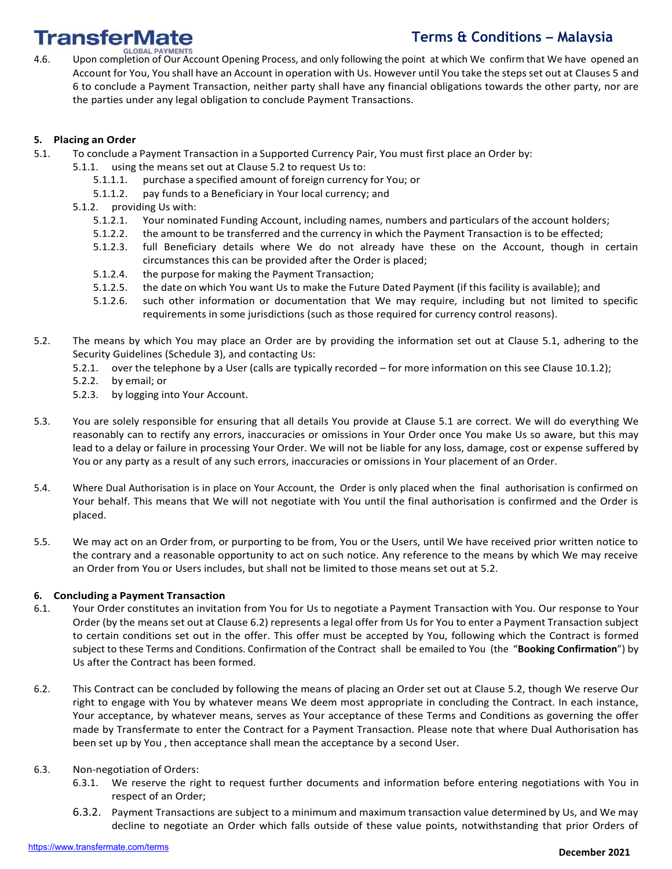## **Terms & Conditions – Malaysia**

4.6. Upon completion of Our Account Opening Process, and only following the point at which We confirm that We have opened an Account for You, You shall have an Account in operation with Us. However until You take the steps set out at Clauses 5 and 6 to conclude a Payment Transaction, neither party shall have any financial obligations towards the other party, nor are the parties under any legal obligation to conclude Payment Transactions.

## **5. Placing an Order**

- 5.1. To conclude a Payment Transaction in a Supported Currency Pair, You must first place an Order by:
	- 5.1.1. using the means set out at Clause 5.2 to request Us to:
		- 5.1.1.1. purchase a specified amount of foreign currency for You; or
		- 5.1.1.2. pay funds to a Beneficiary in Your local currency; and
		- 5.1.2. providing Us with:
			- 5.1.2.1. Your nominated Funding Account, including names, numbers and particulars of the account holders;
			- 5.1.2.2. the amount to be transferred and the currency in which the Payment Transaction is to be effected;
			- 5.1.2.3. full Beneficiary details where We do not already have these on the Account, though in certain circumstances this can be provided after the Order is placed;
			- 5.1.2.4. the purpose for making the Payment Transaction;
			- 5.1.2.5. the date on which You want Us to make the Future Dated Payment (if this facility is available); and
			- 5.1.2.6. such other information or documentation that We may require, including but not limited to specific requirements in some jurisdictions (such as those required for currency control reasons).
- 5.2. The means by which You may place an Order are by providing the information set out at Clause 5.1, adhering to the Security Guidelines (Schedule 3), and contacting Us:
	- 5.2.1. over the telephone by a User (calls are typically recorded for more information on this see Clause 10.1.2);
	- 5.2.2. by email; or
	- 5.2.3. by logging into Your Account.
- 5.3. You are solely responsible for ensuring that all details You provide at Clause 5.1 are correct. We will do everything We reasonably can to rectify any errors, inaccuracies or omissions in Your Order once You make Us so aware, but this may lead to a delay or failure in processing Your Order. We will not be liable for any loss, damage, cost or expense suffered by You or any party as a result of any such errors, inaccuracies or omissions in Your placement of an Order.
- 5.4. Where Dual Authorisation is in place on Your Account, the Order is only placed when the final authorisation is confirmed on Your behalf. This means that We will not negotiate with You until the final authorisation is confirmed and the Order is placed.
- 5.5. We may act on an Order from, or purporting to be from, You or the Users, until We have received prior written notice to the contrary and a reasonable opportunity to act on such notice. Any reference to the means by which We may receive an Order from You or Users includes, but shall not be limited to those means set out at 5.2.

## **6. Concluding a Payment Transaction**

- 6.1. Your Order constitutes an invitation from You for Us to negotiate a Payment Transaction with You. Our response to Your Order (by the means set out at Clause 6.2) represents a legal offer from Us for You to enter a Payment Transaction subject to certain conditions set out in the offer. This offer must be accepted by You, following which the Contract is formed subject to these Terms and Conditions. Confirmation of the Contract shall be emailed to You (the "**Booking Confirmation**") by Us after the Contract has been formed.
- 6.2. This Contract can be concluded by following the means of placing an Order set out at Clause 5.2, though We reserve Our right to engage with You by whatever means We deem most appropriate in concluding the Contract. In each instance, Your acceptance, by whatever means, serves as Your acceptance of these Terms and Conditions as governing the offer made by Transfermate to enter the Contract for a Payment Transaction. Please note that where Dual Authorisation has been set up by You , then acceptance shall mean the acceptance by a second User.

## 6.3. Non-negotiation of Orders:

- 6.3.1. We reserve the right to request further documents and information before entering negotiations with You in respect of an Order;
- 6.3.2. Payment Transactions are subject to a minimum and maximum transaction value determined by Us, and We may decline to negotiate an Order which falls outside of these value points, notwithstanding that prior Orders of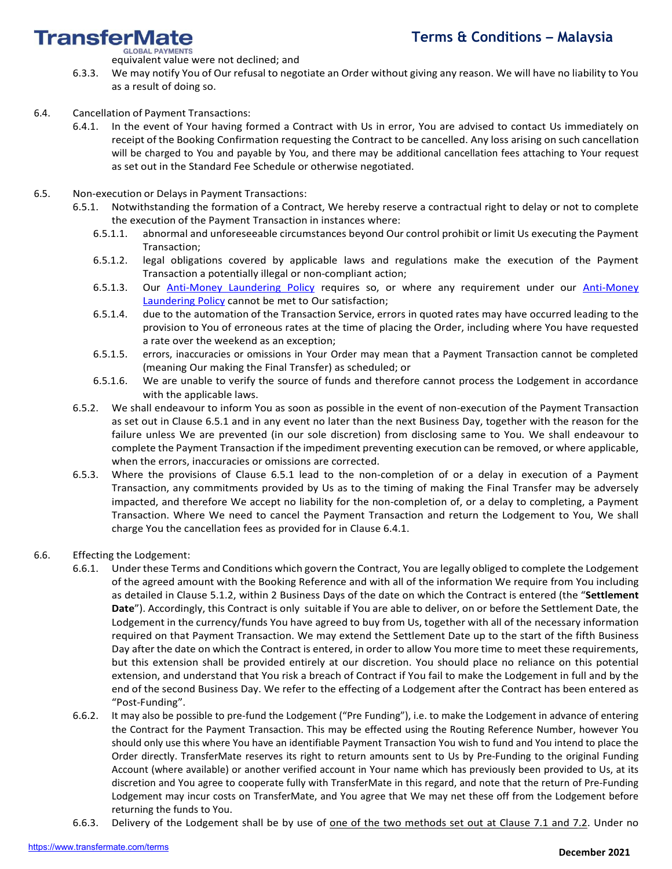equivalent value were not declined; and

- 6.3.3. We may notify You of Our refusal to negotiate an Order without giving any reason. We will have no liability to You as a result of doing so.
- 6.4. Cancellation of Payment Transactions:
	- 6.4.1. In the event of Your having formed a Contract with Us in error, You are advised to contact Us immediately on receipt of the Booking Confirmation requesting the Contract to be cancelled. Any loss arising on such cancellation will be charged to You and payable by You, and there may be additional cancellation fees attaching to Your request as set out in the Standard Fee Schedule or otherwise negotiated.
- 6.5. Non-execution or Delays in Payment Transactions:
	- 6.5.1. Notwithstanding the formation of a Contract, We hereby reserve a contractual right to delay or not to complete the execution of the Payment Transaction in instances where:
		- 6.5.1.1. abnormal and unforeseeable circumstances beyond Our control prohibit or limit Us executing the Payment Transaction;
		- 6.5.1.2. legal obligations covered by applicable laws and regulations make the execution of the Payment Transaction a potentially illegal or non-compliant action;
		- 6.5.1.3. Our [Anti-Money](https://www.transfermate.com/aml-policy/) Laundering Policy requires so, or where any requirement under our [Anti-Money](https://www.transfermate.com/aml-policy/) [Laundering](https://www.transfermate.com/aml-policy/) Policy cannot be met to Our satisfaction;
		- 6.5.1.4. due to the automation of the Transaction Service, errors in quoted rates may have occurred leading to the provision to You of erroneous rates at the time of placing the Order, including where You have requested a rate over the weekend as an exception;
		- 6.5.1.5. errors, inaccuracies or omissions in Your Order may mean that a Payment Transaction cannot be completed (meaning Our making the Final Transfer) as scheduled; or
		- 6.5.1.6. We are unable to verify the source of funds and therefore cannot process the Lodgement in accordance with the applicable laws.
	- 6.5.2. We shall endeavour to inform You as soon as possible in the event of non-execution of the Payment Transaction as set out in Clause 6.5.1 and in any event no later than the next Business Day, together with the reason for the failure unless We are prevented (in our sole discretion) from disclosing same to You. We shall endeavour to complete the Payment Transaction if the impediment preventing execution can be removed, or where applicable, when the errors, inaccuracies or omissions are corrected.
	- 6.5.3. Where the provisions of Clause 6.5.1 lead to the non-completion of or a delay in execution of a Payment Transaction, any commitments provided by Us as to the timing of making the Final Transfer may be adversely impacted, and therefore We accept no liability for the non-completion of, or a delay to completing, a Payment Transaction. Where We need to cancel the Payment Transaction and return the Lodgement to You, We shall charge You the cancellation fees as provided for in Clause 6.4.1.
- 6.6. Effecting the Lodgement:
	- 6.6.1. Under these Terms and Conditions which govern the Contract, You are legally obliged to complete the Lodgement of the agreed amount with the Booking Reference and with all of the information We require from You including as detailed in Clause 5.1.2, within 2 Business Days of the date on which the Contract is entered (the "**Settlement Date**"). Accordingly, this Contract is only suitable if You are able to deliver, on or before the Settlement Date, the Lodgement in the currency/funds You have agreed to buy from Us, together with all of the necessary information required on that Payment Transaction. We may extend the Settlement Date up to the start of the fifth Business Day after the date on which the Contract is entered, in order to allow You more time to meet these requirements, but this extension shall be provided entirely at our discretion. You should place no reliance on this potential extension, and understand that You risk a breach of Contract if You fail to make the Lodgement in full and by the end of the second Business Day. We refer to the effecting of a Lodgement after the Contract has been entered as "Post-Funding".
	- 6.6.2. It may also be possible to pre-fund the Lodgement ("Pre Funding"), i.e. to make the Lodgement in advance of entering the Contract for the Payment Transaction. This may be effected using the Routing Reference Number, however You should only use this where You have an identifiable Payment Transaction You wish to fund and You intend to place the Order directly. TransferMate reserves its right to return amounts sent to Us by Pre-Funding to the original Funding Account (where available) or another verified account in Your name which has previously been provided to Us, at its discretion and You agree to cooperate fully with TransferMate in this regard, and note that the return of Pre-Funding Lodgement may incur costs on TransferMate, and You agree that We may net these off from the Lodgement before returning the funds to You.
	- 6.6.3. Delivery of the Lodgement shall be by use of one of the two methods set out at Clause 7.1 and 7.2. Under no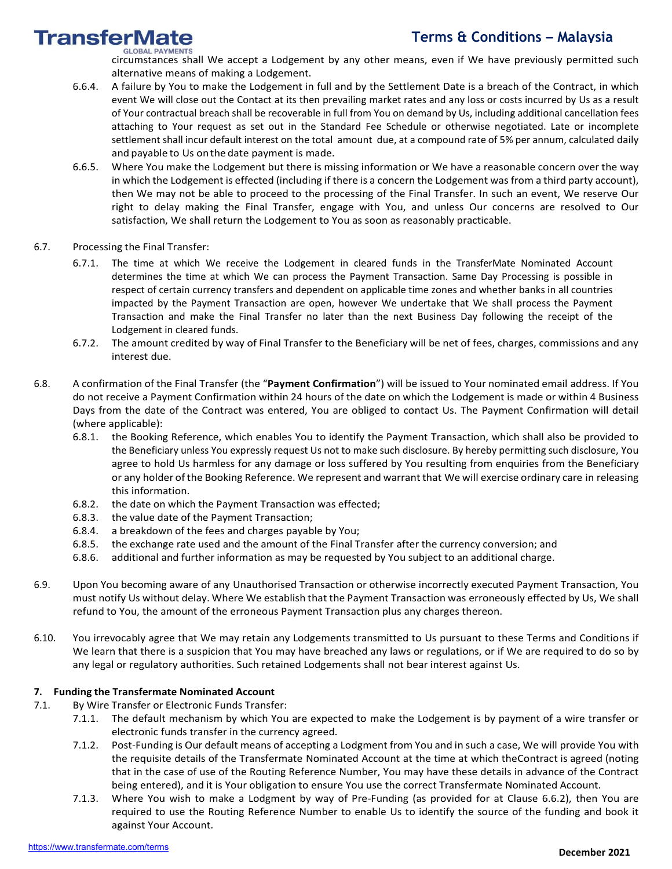## **Terms & Conditions – Malaysia**

circumstances shall We accept a Lodgement by any other means, even if We have previously permitted such alternative means of making a Lodgement.

- 6.6.4. A failure by You to make the Lodgement in full and by the Settlement Date is a breach of the Contract, in which event We will close out the Contact at its then prevailing market rates and any loss or costs incurred by Us as a result of Your contractual breach shall be recoverable in full from You on demand by Us, including additional cancellation fees attaching to Your request as set out in the Standard Fee Schedule or otherwise negotiated. Late or incomplete settlement shall incur default interest on the total amount due, at a compound rate of 5% per annum, calculated daily and payable to Us onthe date payment is made.
- 6.6.5. Where You make the Lodgement but there is missing information or We have a reasonable concern over the way in which the Lodgement is effected (including if there is a concern the Lodgement was from a third party account), then We may not be able to proceed to the processing of the Final Transfer. In such an event, We reserve Our right to delay making the Final Transfer, engage with You, and unless Our concerns are resolved to Our satisfaction, We shall return the Lodgement to You as soon as reasonably practicable.
- 6.7. Processing the Final Transfer:
	- 6.7.1. The time at which We receive the Lodgement in cleared funds in the TransferMate Nominated Account determines the time at which We can process the Payment Transaction. Same Day Processing is possible in respect of certain currency transfers and dependent on applicable time zones and whether banks in all countries impacted by the Payment Transaction are open, however We undertake that We shall process the Payment Transaction and make the Final Transfer no later than the next Business Day following the receipt of the Lodgement in cleared funds.
	- 6.7.2. The amount credited by way of Final Transfer to the Beneficiary will be net of fees, charges, commissions and any interest due.
- 6.8. A confirmation of the Final Transfer (the "**Payment Confirmation**") will be issued to Your nominated email address. If You do not receive a Payment Confirmation within 24 hours of the date on which the Lodgement is made or within 4 Business Days from the date of the Contract was entered, You are obliged to contact Us. The Payment Confirmation will detail (where applicable):
	- 6.8.1. the Booking Reference, which enables You to identify the Payment Transaction, which shall also be provided to the Beneficiary unless You expressly request Us not to make such disclosure. By hereby permitting such disclosure, You agree to hold Us harmless for any damage or loss suffered by You resulting from enquiries from the Beneficiary or any holder ofthe Booking Reference. We represent and warrant that We will exercise ordinary care in releasing this information.
	- 6.8.2. the date on which the Payment Transaction was effected;
	- 6.8.3. the value date of the Payment Transaction;
	- 6.8.4. a breakdown of the fees and charges payable by You;
	- 6.8.5. the exchange rate used and the amount of the Final Transfer after the currency conversion; and
	- 6.8.6. additional and further information as may be requested by You subject to an additional charge.
- 6.9. Upon You becoming aware of any Unauthorised Transaction or otherwise incorrectly executed Payment Transaction, You must notify Us without delay. Where We establish that the Payment Transaction was erroneously effected by Us, We shall refund to You, the amount of the erroneous Payment Transaction plus any charges thereon.
- 6.10. You irrevocably agree that We may retain any Lodgements transmitted to Us pursuant to these Terms and Conditions if We learn that there is a suspicion that You may have breached any laws or regulations, or if We are required to do so by any legal or regulatory authorities. Such retained Lodgements shall not bear interest against Us.

#### **7. Funding the Transfermate Nominated Account**

- 7.1. By Wire Transfer or Electronic Funds Transfer:
	- 7.1.1. The default mechanism by which You are expected to make the Lodgement is by payment of a wire transfer or electronic funds transfer in the currency agreed.
	- 7.1.2. Post-Funding is Our default means of accepting a Lodgment from You and in such a case, We will provide You with the requisite details of the Transfermate Nominated Account at the time at which theContract is agreed (noting that in the case of use of the Routing Reference Number, You may have these details in advance of the Contract being entered), and it is Your obligation to ensure You use the correct Transfermate Nominated Account.
	- 7.1.3. Where You wish to make a Lodgment by way of Pre-Funding (as provided for at Clause 6.6.2), then You are required to use the Routing Reference Number to enable Us to identify the source of the funding and book it against Your Account.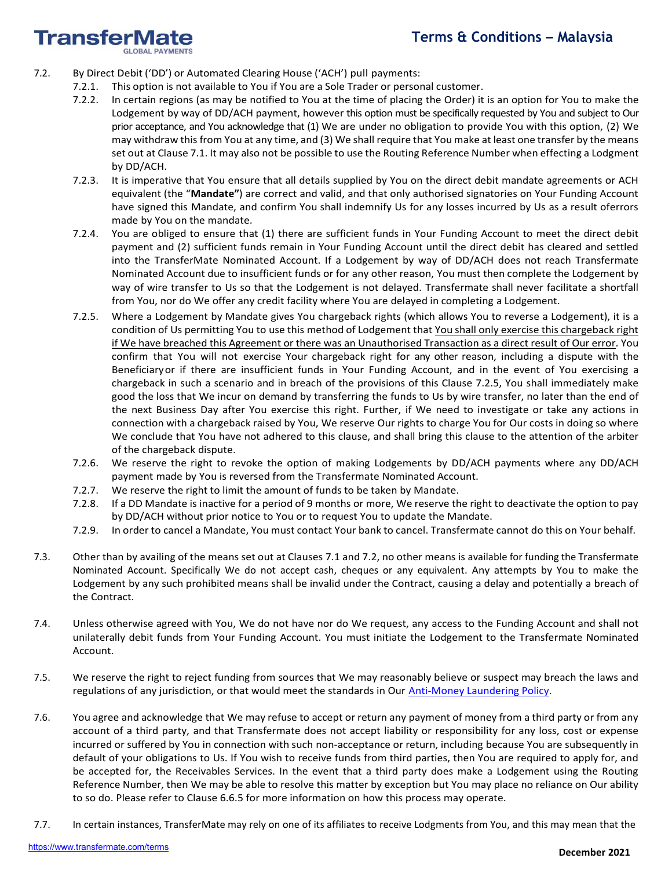- 7.2. By Direct Debit ('DD') or Automated Clearing House ('ACH') pull payments:
	- 7.2.1. This option is not available to You if You are a Sole Trader or personal customer.
		- 7.2.2. In certain regions (as may be notified to You at the time of placing the Order) it is an option for You to make the Lodgement by way of DD/ACH payment, however this option must be specifically requested by You and subject to Our prior acceptance, and You acknowledge that (1) We are under no obligation to provide You with this option, (2) We may withdraw this from You at any time, and (3) We shall require that You make at least one transfer by the means set out at Clause 7.1. It may also not be possible to use the Routing Reference Number when effecting a Lodgment by DD/ACH.
		- 7.2.3. It is imperative that You ensure that all details supplied by You on the direct debit mandate agreements or ACH equivalent (the "**Mandate"**) are correct and valid, and that only authorised signatories on Your Funding Account have signed this Mandate, and confirm You shall indemnify Us for any losses incurred by Us as a result oferrors made by You on the mandate.
		- 7.2.4. You are obliged to ensure that (1) there are sufficient funds in Your Funding Account to meet the direct debit payment and (2) sufficient funds remain in Your Funding Account until the direct debit has cleared and settled into the TransferMate Nominated Account. If a Lodgement by way of DD/ACH does not reach Transfermate Nominated Account due to insufficient funds or for any other reason, You must then complete the Lodgement by way of wire transfer to Us so that the Lodgement is not delayed. Transfermate shall never facilitate a shortfall from You, nor do We offer any credit facility where You are delayed in completing a Lodgement.
		- 7.2.5. Where a Lodgement by Mandate gives You chargeback rights (which allows You to reverse a Lodgement), it is a condition of Us permitting You to use this method of Lodgement that You shall only exercise this chargeback right if We have breached this Agreement or there was an Unauthorised Transaction as a direct result of Our error. You confirm that You will not exercise Your chargeback right for any other reason, including a dispute with the Beneficiaryor if there are insufficient funds in Your Funding Account, and in the event of You exercising a chargeback in such a scenario and in breach of the provisions of this Clause 7.2.5, You shall immediately make good the loss that We incur on demand by transferring the funds to Us by wire transfer, no later than the end of the next Business Day after You exercise this right. Further, if We need to investigate or take any actions in connection with a chargeback raised by You, We reserve Our rights to charge You for Our costs in doing so where We conclude that You have not adhered to this clause, and shall bring this clause to the attention of the arbiter of the chargeback dispute.
		- 7.2.6. We reserve the right to revoke the option of making Lodgements by DD/ACH payments where any DD/ACH payment made by You is reversed from the Transfermate Nominated Account.
		- 7.2.7. We reserve the right to limit the amount of funds to be taken by Mandate.
		- 7.2.8. If a DD Mandate is inactive for a period of 9 months or more, We reserve the right to deactivate the option to pay by DD/ACH without prior notice to You or to request You to update the Mandate.
		- 7.2.9. In order to cancel a Mandate, You must contact Your bank to cancel. Transfermate cannot do this on Your behalf.
- 7.3. Other than by availing of the means set out at Clauses 7.1 and 7.2, no other means is available for funding the Transfermate Nominated Account. Specifically We do not accept cash, cheques or any equivalent. Any attempts by You to make the Lodgement by any such prohibited means shall be invalid under the Contract, causing a delay and potentially a breach of the Contract.
- 7.4. Unless otherwise agreed with You, We do not have nor do We request, any access to the Funding Account and shall not unilaterally debit funds from Your Funding Account. You must initiate the Lodgement to the Transfermate Nominated Account.
- 7.5. We reserve the right to reject funding from sources that We may reasonably believe or suspect may breach the laws and regulations of any jurisdiction, or that would meet the standards in Our **[Anti-Money Laundering](https://www.transfermate.com/aml-policy/) Policy**.
- 7.6. You agree and acknowledge that We may refuse to accept or return any payment of money from a third party or from any account of a third party, and that Transfermate does not accept liability or responsibility for any loss, cost or expense incurred or suffered by You in connection with such non-acceptance or return, including because You are subsequently in default of your obligations to Us. If You wish to receive funds from third parties, then You are required to apply for, and be accepted for, the Receivables Services. In the event that a third party does make a Lodgement using the Routing Reference Number, then We may be able to resolve this matter by exception but You may place no reliance on Our ability to so do. Please refer to Clause 6.6.5 for more information on how this process may operate.
- 7.7. In certain instances, TransferMate may rely on one of its affiliates to receive Lodgments from You, and this may mean that the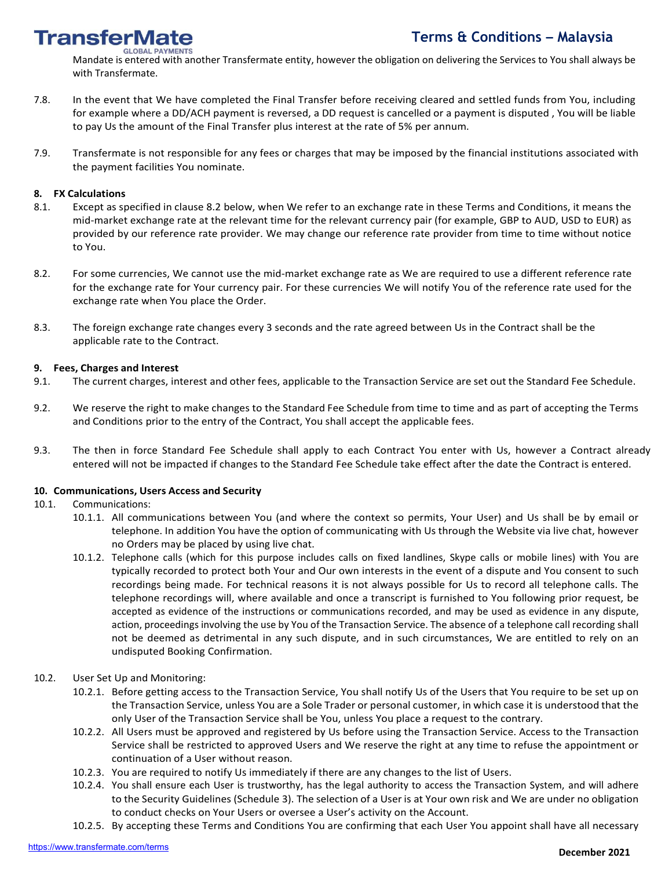## **Terms & Conditions – Malaysia**

Mandate is entered with another Transfermate entity, however the obligation on delivering the Services to You shall always be with Transfermate.

- 7.8. In the event that We have completed the Final Transfer before receiving cleared and settled funds from You, including for example where a DD/ACH payment is reversed, a DD request is cancelled or a payment is disputed , You will be liable to pay Us the amount of the Final Transfer plus interest at the rate of 5% per annum.
- 7.9. Transfermate is not responsible for any fees or charges that may be imposed by the financial institutions associated with the payment facilities You nominate.

#### **8. FX Calculations**

- 8.1. Except as specified in clause 8.2 below, when We refer to an exchange rate in these Terms and Conditions, it means the mid-market exchange rate at the relevant time for the relevant currency pair (for example, GBP to AUD, USD to EUR) as provided by our reference rate provider. We may change our reference rate provider from time to time without notice to You.
- 8.2. For some currencies, We cannot use the mid-market exchange rate as We are required to use a different reference rate for the exchange rate for Your currency pair. For these currencies We will notify You of the reference rate used for the exchange rate when You place the Order.
- 8.3. The foreign exchange rate changes every 3 seconds and the rate agreed between Us in the Contract shall be the applicable rate to the Contract.

#### **9. Fees, Charges and Interest**

- 9.1. The current charges, interest and other fees, applicable to the Transaction Service are set out the Standard Fee Schedule.
- 9.2. We reserve the right to make changes to the Standard Fee Schedule from time to time and as part of accepting the Terms and Conditions prior to the entry of the Contract, You shall accept the applicable fees.
- 9.3. The then in force Standard Fee Schedule shall apply to each Contract You enter with Us, however a Contract already entered will not be impacted if changes to the Standard Fee Schedule take effect after the date the Contract is entered.

#### **10. Communications, Users Access and Security**

#### 10.1. Communications:

- 10.1.1. All communications between You (and where the context so permits, Your User) and Us shall be by email or telephone. In addition You have the option of communicating with Us through the Website via live chat, however no Orders may be placed by using live chat.
- 10.1.2. Telephone calls (which for this purpose includes calls on fixed landlines, Skype calls or mobile lines) with You are typically recorded to protect both Your and Our own interests in the event of a dispute and You consent to such recordings being made. For technical reasons it is not always possible for Us to record all telephone calls. The telephone recordings will, where available and once a transcript is furnished to You following prior request, be accepted as evidence of the instructions or communications recorded, and may be used as evidence in any dispute, action, proceedings involving the use by You of the Transaction Service. The absence of a telephone call recording shall not be deemed as detrimental in any such dispute, and in such circumstances, We are entitled to rely on an undisputed Booking Confirmation.
- 10.2. User Set Up and Monitoring:
	- 10.2.1. Before getting access to the Transaction Service, You shall notify Us of the Users that You require to be set up on the Transaction Service, unless You are a Sole Trader or personal customer, in which case it is understood that the only User of the Transaction Service shall be You, unless You place a request to the contrary.
	- 10.2.2. All Users must be approved and registered by Us before using the Transaction Service. Access to the Transaction Service shall be restricted to approved Users and We reserve the right at any time to refuse the appointment or continuation of a User without reason.
	- 10.2.3. You are required to notify Us immediately if there are any changes to the list of Users.
	- 10.2.4. You shall ensure each User is trustworthy, has the legal authority to access the Transaction System, and will adhere to the Security Guidelines (Schedule 3). The selection of a User is at Your own risk and We are under no obligation to conduct checks on Your Users or oversee a User's activity on the Account.
	- 10.2.5. By accepting these Terms and Conditions You are confirming that each User You appoint shall have all necessary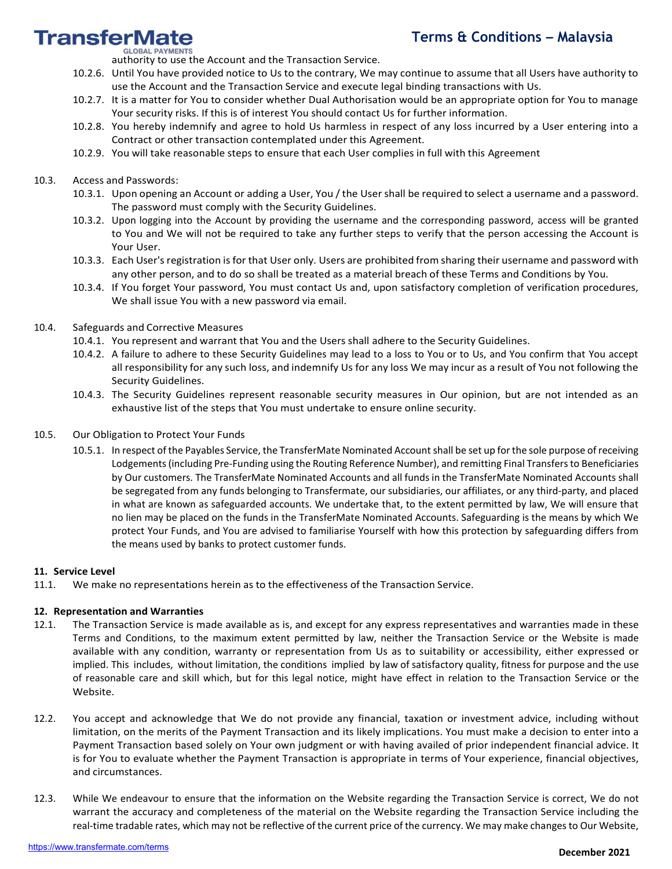## **Terms & Conditions – Malaysia**

authority to use the Account and the Transaction Service.

- 10.2.6. Until You have provided notice to Us to the contrary, We may continue to assume that all Users have authority to use the Account and the Transaction Service and execute legal binding transactions with Us.
- 10.2.7. It is a matter for You to consider whether Dual Authorisation would be an appropriate option for You to manage Your security risks. If this is of interest You should contact Us for further information.
- 10.2.8. You hereby indemnify and agree to hold Us harmless in respect of any loss incurred by a User entering into a Contract or other transaction contemplated under this Agreement.
- 10.2.9. You will take reasonable steps to ensure that each User complies in full with this Agreement
- 10.3. Access and Passwords:
	- 10.3.1. Upon opening an Account or adding a User, You /the User shall be required to select a username and a password. The password must comply with the Security Guidelines.
	- 10.3.2. Upon logging into the Account by providing the username and the corresponding password, access will be granted to You and We will not be required to take any further steps to verify that the person accessing the Account is Your User.
	- 10.3.3. Each User's registration is for that User only. Users are prohibited from sharing their username and password with any other person, and to do so shall be treated as a material breach of these Terms and Conditions by You.
	- 10.3.4. If You forget Your password, You must contact Us and, upon satisfactory completion of verification procedures, We shall issue You with a new password via email.

#### 10.4. Safeguards and Corrective Measures

- 10.4.1. You represent and warrant that You and the Users shall adhere to the Security Guidelines.
- 10.4.2. A failure to adhere to these Security Guidelines may lead to a loss to You or to Us, and You confirm that You accept all responsibility for any such loss, and indemnify Us for any loss We may incur as a result of You not following the Security Guidelines.
- 10.4.3. The Security Guidelines represent reasonable security measures in Our opinion, but are not intended as an exhaustive list of the steps that You must undertake to ensure online security.

#### 10.5. Our Obligation to Protect Your Funds

10.5.1. In respect of the Payables Service, the TransferMate Nominated Account shall be set up for the sole purpose of receiving Lodgements(including Pre-Funding using the Routing Reference Number), and remitting Final Transfers to Beneficiaries by Our customers. The TransferMate Nominated Accounts and all funds in the TransferMate Nominated Accounts shall be segregated from any funds belonging to Transfermate, our subsidiaries, our affiliates, or any third-party, and placed in what are known as safeguarded accounts. We undertake that, to the extent permitted by law, We will ensure that no lien may be placed on the funds in the TransferMate Nominated Accounts. Safeguarding is the means by which We protect Your Funds, and You are advised to familiarise Yourself with how this protection by safeguarding differs from the means used by banks to protect customer funds.

#### **11. Service Level**

11.1. We make no representations herein as to the effectiveness of the Transaction Service.

#### **12. Representation and Warranties**

- 12.1. The Transaction Service is made available as is, and except for any express representatives and warranties made in these Terms and Conditions, to the maximum extent permitted by law, neither the Transaction Service or the Website is made available with any condition, warranty or representation from Us as to suitability or accessibility, either expressed or implied. This includes, without limitation, the conditions implied by law of satisfactory quality, fitness for purpose and the use of reasonable care and skill which, but for this legal notice, might have effect in relation to the Transaction Service or the Website.
- 12.2. You accept and acknowledge that We do not provide any financial, taxation or investment advice, including without limitation, on the merits of the Payment Transaction and its likely implications. You must make a decision to enter into a Payment Transaction based solely on Your own judgment or with having availed of prior independent financial advice. It is for You to evaluate whether the Payment Transaction is appropriate in terms of Your experience, financial objectives, and circumstances.
- 12.3. While We endeavour to ensure that the information on the Website regarding the Transaction Service is correct, We do not warrant the accuracy and completeness of the material on the Website regarding the Transaction Service including the real-time tradable rates, which may not be reflective of the current price of the currency. We may make changes to Our Website,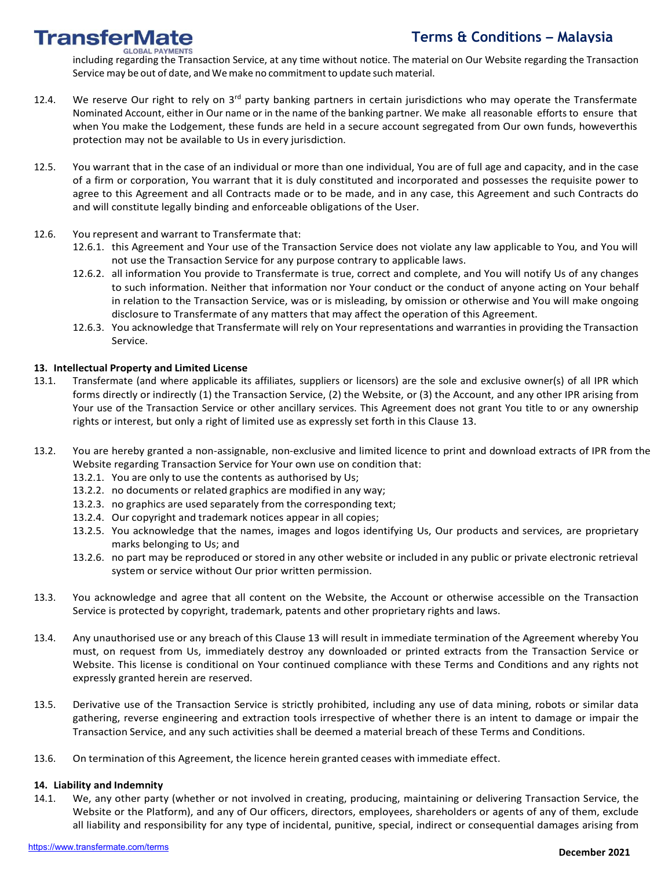## **Terms & Conditions – Malaysia**

including regarding the Transaction Service, at any time without notice. The material on Our Website regarding the Transaction Service may be out of date, and Wemake no commitment to update such material.

- 12.4. We reserve Our right to rely on  $3^{rd}$  party banking partners in certain jurisdictions who may operate the Transfermate Nominated Account, either in Our name or in the name of the banking partner. We make all reasonable efforts to ensure that when You make the Lodgement, these funds are held in a secure account segregated from Our own funds, howeverthis protection may not be available to Us in every jurisdiction.
- 12.5. You warrant that in the case of an individual or more than one individual, You are of full age and capacity, and in the case of a firm or corporation, You warrant that it is duly constituted and incorporated and possesses the requisite power to agree to this Agreement and all Contracts made or to be made, and in any case, this Agreement and such Contracts do and will constitute legally binding and enforceable obligations of the User.
- 12.6. You represent and warrant to Transfermate that:
	- 12.6.1. this Agreement and Your use of the Transaction Service does not violate any law applicable to You, and You will not use the Transaction Service for any purpose contrary to applicable laws.
	- 12.6.2. all information You provide to Transfermate is true, correct and complete, and You will notify Us of any changes to such information. Neither that information nor Your conduct or the conduct of anyone acting on Your behalf in relation to the Transaction Service, was or is misleading, by omission or otherwise and You will make ongoing disclosure to Transfermate of any matters that may affect the operation of this Agreement.
	- 12.6.3. You acknowledge that Transfermate will rely on Your representations and warranties in providing the Transaction Service.

## **13. Intellectual Property and Limited License**

- 13.1. Transfermate (and where applicable its affiliates, suppliers or licensors) are the sole and exclusive owner(s) of all IPR which forms directly or indirectly (1) the Transaction Service, (2) the Website, or (3) the Account, and any other IPR arising from Your use of the Transaction Service or other ancillary services. This Agreement does not grant You title to or any ownership rights or interest, but only a right of limited use as expressly set forth in this Clause 13.
- 13.2. You are hereby granted a non-assignable, non-exclusive and limited licence to print and download extracts of IPR from the Website regarding Transaction Service for Your own use on condition that:
	- 13.2.1. You are only to use the contents as authorised by Us;
	- 13.2.2. no documents or related graphics are modified in any way;
	- 13.2.3. no graphics are used separately from the corresponding text;
	- 13.2.4. Our copyright and trademark notices appear in all copies;
	- 13.2.5. You acknowledge that the names, images and logos identifying Us, Our products and services, are proprietary marks belonging to Us; and
	- 13.2.6. no part may be reproduced or stored in any other website or included in any public or private electronic retrieval system or service without Our prior written permission.
- 13.3. You acknowledge and agree that all content on the Website, the Account or otherwise accessible on the Transaction Service is protected by copyright, trademark, patents and other proprietary rights and laws.
- 13.4. Any unauthorised use or any breach of this Clause 13 will result in immediate termination of the Agreement whereby You must, on request from Us, immediately destroy any downloaded or printed extracts from the Transaction Service or Website. This license is conditional on Your continued compliance with these Terms and Conditions and any rights not expressly granted herein are reserved.
- 13.5. Derivative use of the Transaction Service is strictly prohibited, including any use of data mining, robots or similar data gathering, reverse engineering and extraction tools irrespective of whether there is an intent to damage or impair the Transaction Service, and any such activities shall be deemed a material breach of these Terms and Conditions.
- 13.6. On termination of this Agreement, the licence herein granted ceases with immediate effect.

#### **14. Liability and Indemnity**

14.1. We, any other party (whether or not involved in creating, producing, maintaining or delivering Transaction Service, the Website or the Platform), and any of Our officers, directors, employees, shareholders or agents of any of them, exclude all liability and responsibility for any type of incidental, punitive, special, indirect or consequential damages arising from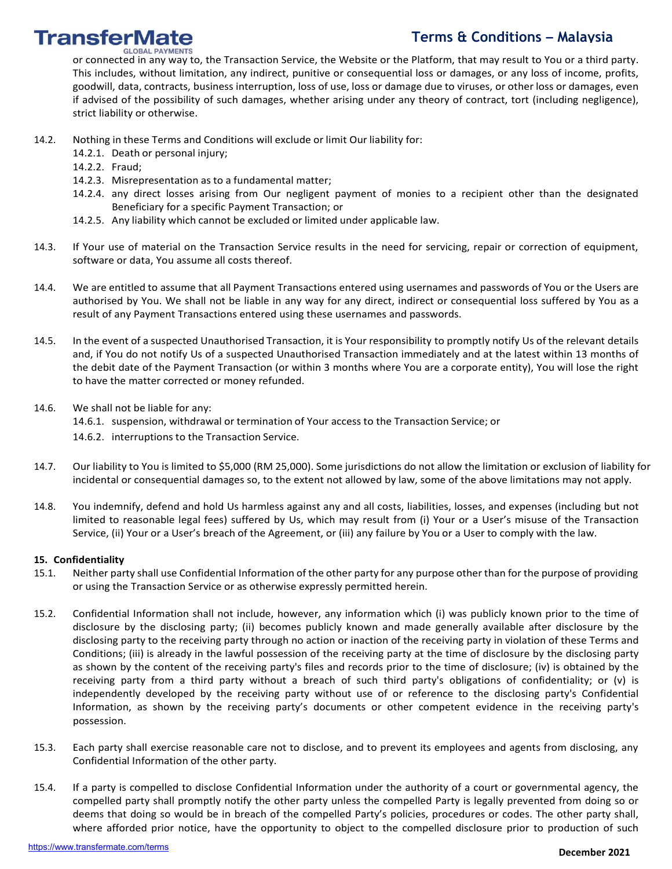## **Terms & Conditions – Malaysia**

or connected in any way to, the Transaction Service, the Website or the Platform, that may result to You or a third party. This includes, without limitation, any indirect, punitive or consequential loss or damages, or any loss of income, profits, goodwill, data, contracts, business interruption, loss of use, loss or damage due to viruses, or other loss or damages, even if advised of the possibility of such damages, whether arising under any theory of contract, tort (including negligence), strict liability or otherwise.

- 14.2. Nothing in these Terms and Conditions will exclude or limit Our liability for:
	- 14.2.1. Death or personal injury;
	- 14.2.2. Fraud;
	- 14.2.3. Misrepresentation as to a fundamental matter;
	- 14.2.4. any direct losses arising from Our negligent payment of monies to a recipient other than the designated Beneficiary for a specific Payment Transaction; or
	- 14.2.5. Any liability which cannot be excluded or limited under applicable law.
- 14.3. If Your use of material on the Transaction Service results in the need for servicing, repair or correction of equipment, software or data, You assume all costs thereof.
- 14.4. We are entitled to assume that all Payment Transactions entered using usernames and passwords of You or the Users are authorised by You. We shall not be liable in any way for any direct, indirect or consequential loss suffered by You as a result of any Payment Transactions entered using these usernames and passwords.
- 14.5. In the event of a suspected Unauthorised Transaction, it is Your responsibility to promptly notify Us of the relevant details and, if You do not notify Us of a suspected Unauthorised Transaction immediately and at the latest within 13 months of the debit date of the Payment Transaction (or within 3 months where You are a corporate entity), You will lose the right to have the matter corrected or money refunded.
- 14.6. We shall not be liable for any: 14.6.1. suspension, withdrawal or termination of Your access to the Transaction Service; or 14.6.2. interruptions to the Transaction Service.
- 14.7. Our liability to You is limited to \$5,000 (RM 25,000). Some jurisdictions do not allow the limitation or exclusion of liability for incidental or consequential damages so, to the extent not allowed by law, some of the above limitations may not apply.
- 14.8. You indemnify, defend and hold Us harmless against any and all costs, liabilities, losses, and expenses (including but not limited to reasonable legal fees) suffered by Us, which may result from (i) Your or a User's misuse of the Transaction Service, (ii) Your or a User's breach of the Agreement, or (iii) any failure by You or a User to comply with the law.

#### **15. Confidentiality**

- 15.1. Neither party shall use Confidential Information of the other party for any purpose other than for the purpose of providing or using the Transaction Service or as otherwise expressly permitted herein.
- 15.2. Confidential Information shall not include, however, any information which (i) was publicly known prior to the time of disclosure by the disclosing party; (ii) becomes publicly known and made generally available after disclosure by the disclosing party to the receiving party through no action or inaction of the receiving party in violation of these Terms and Conditions; (iii) is already in the lawful possession of the receiving party at the time of disclosure by the disclosing party as shown by the content of the receiving party's files and records prior to the time of disclosure; (iv) is obtained by the receiving party from a third party without a breach of such third party's obligations of confidentiality; or (v) is independently developed by the receiving party without use of or reference to the disclosing party's Confidential Information, as shown by the receiving party's documents or other competent evidence in the receiving party's possession.
- 15.3. Each party shall exercise reasonable care not to disclose, and to prevent its employees and agents from disclosing, any Confidential Information of the other party.
- 15.4. If a party is compelled to disclose Confidential Information under the authority of a court or governmental agency, the compelled party shall promptly notify the other party unless the compelled Party is legally prevented from doing so or deems that doing so would be in breach of the compelled Party's policies, procedures or codes. The other party shall, where afforded prior notice, have the opportunity to object to the compelled disclosure prior to production of such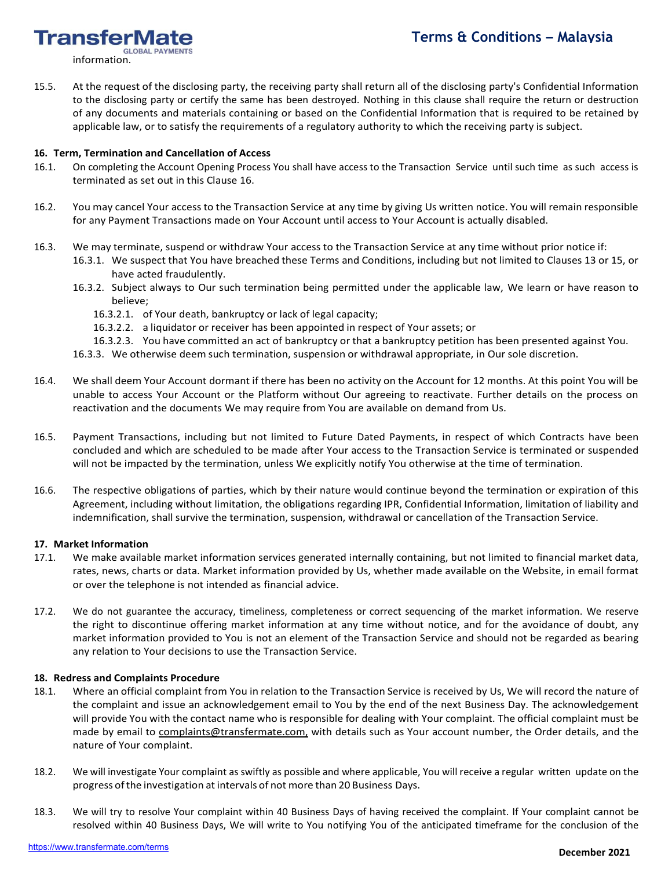# **TransferMate**

**GLORAL PAYMENTS** information.

15.5. At the request of the disclosing party, the receiving party shall return all of the disclosing party's Confidential Information to the disclosing party or certify the same has been destroyed. Nothing in this clause shall require the return or destruction of any documents and materials containing or based on the Confidential Information that is required to be retained by applicable law, or to satisfy the requirements of a regulatory authority to which the receiving party is subject.

### **16. Term, Termination and Cancellation of Access**

- 16.1. On completing the Account Opening Process You shall have access to the Transaction Service until such time as such access is terminated as set out in this Clause 16.
- 16.2. You may cancel Your access to the Transaction Service at any time by giving Us written notice. You will remain responsible for any Payment Transactions made on Your Account until access to Your Account is actually disabled.
- 16.3. We may terminate, suspend or withdraw Your access to the Transaction Service at any time without prior notice if:
	- 16.3.1. We suspect that You have breached these Terms and Conditions, including but not limited to Clauses 13 or 15, or have acted fraudulently.
	- 16.3.2. Subject always to Our such termination being permitted under the applicable law, We learn or have reason to believe;
		- 16.3.2.1. of Your death, bankruptcy or lack of legal capacity;
		- 16.3.2.2. a liquidator or receiver has been appointed in respect of Your assets; or
		- 16.3.2.3. You have committed an act of bankruptcy or that a bankruptcy petition has been presented against You.
	- 16.3.3. We otherwise deem such termination, suspension or withdrawal appropriate, in Our sole discretion.
- 16.4. We shall deem Your Account dormant if there has been no activity on the Account for 12 months. At this point You will be unable to access Your Account or the Platform without Our agreeing to reactivate. Further details on the process on reactivation and the documents We may require from You are available on demand from Us.
- 16.5. Payment Transactions, including but not limited to Future Dated Payments, in respect of which Contracts have been concluded and which are scheduled to be made after Your access to the Transaction Service is terminated or suspended will not be impacted by the termination, unless We explicitly notify You otherwise at the time of termination.
- 16.6. The respective obligations of parties, which by their nature would continue beyond the termination or expiration of this Agreement, including without limitation, the obligations regarding IPR, Confidential Information, limitation of liability and indemnification, shall survive the termination, suspension, withdrawal or cancellation of the Transaction Service.

#### **17. Market Information**

- 17.1. We make available market information services generated internally containing, but not limited to financial market data, rates, news, charts or data. Market information provided by Us, whether made available on the Website, in email format or over the telephone is not intended as financial advice.
- 17.2. We do not guarantee the accuracy, timeliness, completeness or correct sequencing of the market information. We reserve the right to discontinue offering market information at any time without notice, and for the avoidance of doubt, any market information provided to You is not an element of the Transaction Service and should not be regarded as bearing any relation to Your decisions to use the Transaction Service.

#### **18. Redress and Complaints Procedure**

- 18.1. Where an official complaint from You in relation to the Transaction Service is received by Us, We will record the nature of the complaint and issue an acknowledgement email to You by the end of the next Business Day. The acknowledgement will provide You with the contact name who is responsible for dealing with Your complaint. The official complaint must be made by email to [complaints@transfermate.com,](mailto:compliance@transfermate.com) with details such as Your account number, the Order details, and the nature of Your complaint.
- 18.2. We will investigate Your complaint as swiftly as possible and where applicable, You will receive a regular written update on the progress ofthe investigation atintervals of not more than 20 Business Days.
- 18.3. We will try to resolve Your complaint within 40 Business Days of having received the complaint. If Your complaint cannot be resolved within 40 Business Days, We will write to You notifying You of the anticipated timeframe for the conclusion of the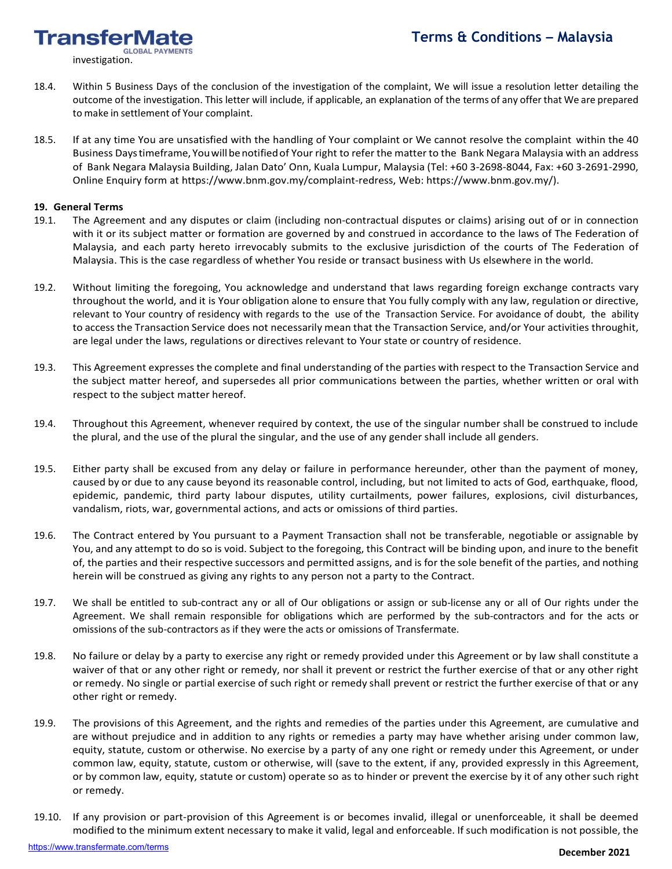**TransferMa** 

**GLOBAL PAYMENTS** investigation.

- 18.4. Within 5 Business Days of the conclusion of the investigation of the complaint, We will issue a resolution letter detailing the outcome of the investigation. This letter will include, if applicable, an explanation of the terms of any offer that We are prepared to make in settlement of Your complaint.
- 18.5. If at any time You are unsatisfied with the handling of Your complaint or We cannot resolve the complaint within the 40 Business Daystimeframe,Youwillbenotifiedof Your right to refer the matter to the Bank Negara Malaysia with an address of Bank Negara Malaysia Building, Jalan Dato' Onn, Kuala Lumpur, Malaysia (Tel: +60 3-2698-8044, Fax: +60 3-2691-2990, Online Enquiry form at https://www.bnm.gov.my/complaint-redress, Web: https://www.bnm.gov.my/).

#### **19. General Terms**

- 19.1. The Agreement and any disputes or claim (including non-contractual disputes or claims) arising out of or in connection with it or its subject matter or formation are governed by and construed in accordance to the laws of The Federation of Malaysia, and each party hereto irrevocably submits to the exclusive jurisdiction of the courts of The Federation of Malaysia. This is the case regardless of whether You reside or transact business with Us elsewhere in the world.
- 19.2. Without limiting the foregoing, You acknowledge and understand that laws regarding foreign exchange contracts vary throughout the world, and it is Your obligation alone to ensure that You fully comply with any law, regulation or directive, relevant to Your country of residency with regards to the use of the Transaction Service. For avoidance of doubt, the ability to access the Transaction Service does not necessarily mean that the Transaction Service, and/or Your activities throughit, are legal under the laws, regulations or directives relevant to Your state or country of residence.
- 19.3. This Agreement expresses the complete and final understanding of the parties with respect to the Transaction Service and the subject matter hereof, and supersedes all prior communications between the parties, whether written or oral with respect to the subject matter hereof.
- 19.4. Throughout this Agreement, whenever required by context, the use of the singular number shall be construed to include the plural, and the use of the plural the singular, and the use of any gender shall include all genders.
- 19.5. Either party shall be excused from any delay or failure in performance hereunder, other than the payment of money, caused by or due to any cause beyond its reasonable control, including, but not limited to acts of God, earthquake, flood, epidemic, pandemic, third party labour disputes, utility curtailments, power failures, explosions, civil disturbances, vandalism, riots, war, governmental actions, and acts or omissions of third parties.
- 19.6. The Contract entered by You pursuant to a Payment Transaction shall not be transferable, negotiable or assignable by You, and any attempt to do so is void. Subject to the foregoing, this Contract will be binding upon, and inure to the benefit of, the parties and their respective successors and permitted assigns, and is for the sole benefit of the parties, and nothing herein will be construed as giving any rights to any person not a party to the Contract.
- 19.7. We shall be entitled to sub-contract any or all of Our obligations or assign or sub-license any or all of Our rights under the Agreement. We shall remain responsible for obligations which are performed by the sub-contractors and for the acts or omissions of the sub-contractors as if they were the acts or omissions of Transfermate.
- 19.8. No failure or delay by a party to exercise any right or remedy provided under this Agreement or by law shall constitute a waiver of that or any other right or remedy, nor shall it prevent or restrict the further exercise of that or any other right or remedy. No single or partial exercise of such right or remedy shall prevent or restrict the further exercise of that or any other right or remedy.
- 19.9. The provisions of this Agreement, and the rights and remedies of the parties under this Agreement, are cumulative and are without prejudice and in addition to any rights or remedies a party may have whether arising under common law, equity, statute, custom or otherwise. No exercise by a party of any one right or remedy under this Agreement, or under common law, equity, statute, custom or otherwise, will (save to the extent, if any, provided expressly in this Agreement, or by common law, equity, statute or custom) operate so as to hinder or prevent the exercise by it of any other such right or remedy.
- 19.10. If any provision or part-provision of this Agreement is or becomes invalid, illegal or unenforceable, it shall be deemed modified to the minimum extent necessary to make it valid, legal and enforceable. If such modification is not possible, the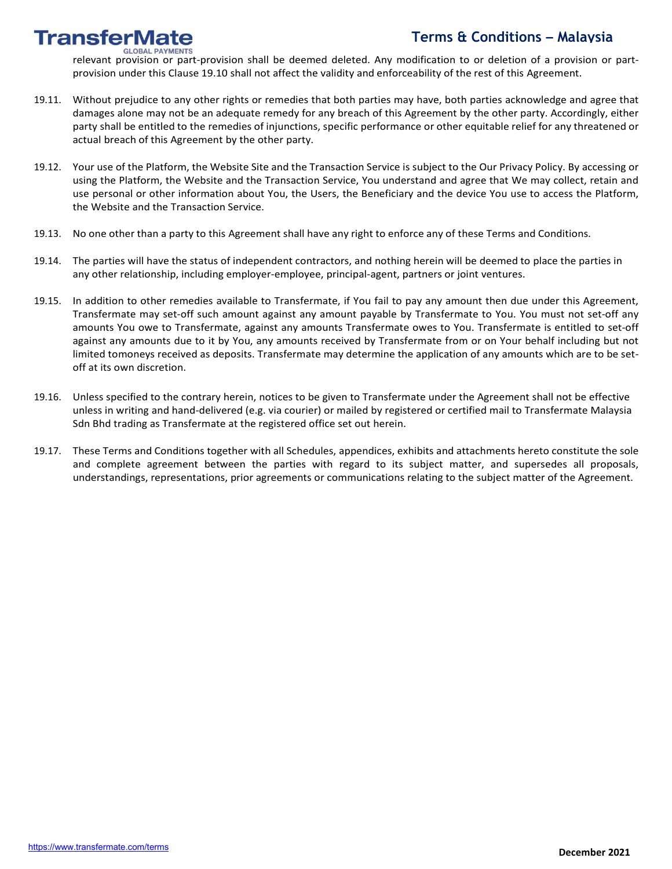## **Terms & Conditions – Malaysia**

relevant provision or part-provision shall be deemed deleted. Any modification to or deletion of a provision or partprovision under this Clause 19.10 shall not affect the validity and enforceability of the rest of this Agreement.

- 19.11. Without prejudice to any other rights or remedies that both parties may have, both parties acknowledge and agree that damages alone may not be an adequate remedy for any breach of this Agreement by the other party. Accordingly, either party shall be entitled to the remedies of injunctions, specific performance or other equitable relief for any threatened or actual breach of this Agreement by the other party.
- 19.12. Your use of the Platform, the Website Site and the Transaction Service is subject to the [Our Privacy Policy.](https://www.transfermate.com/privacy-policy-aus/) By accessing or using the Platform, the Website and the Transaction Service, You understand and agree that We may collect, retain and use personal or other information about You, the Users, the Beneficiary and the device You use to access the Platform, the Website and the Transaction Service.
- 19.13. No one other than a party to this Agreement shall have any right to enforce any of these Terms and Conditions.
- 19.14. The parties will have the status of independent contractors, and nothing herein will be deemed to place the parties in any other relationship, including employer-employee, principal-agent, partners or joint ventures.
- 19.15. In addition to other remedies available to Transfermate, if You fail to pay any amount then due under this Agreement, Transfermate may set-off such amount against any amount payable by Transfermate to You. You must not set-off any amounts You owe to Transfermate, against any amounts Transfermate owes to You. Transfermate is entitled to set-off against any amounts due to it by You, any amounts received by Transfermate from or on Your behalf including but not limited tomoneys received as deposits. Transfermate may determine the application of any amounts which are to be setoff at its own discretion.
- 19.16. Unless specified to the contrary herein, notices to be given to Transfermate under the Agreement shall not be effective unless in writing and hand-delivered (e.g. via courier) or mailed by registered or certified mail to Transfermate Malaysia Sdn Bhd trading as Transfermate at the registered office set out herein.
- 19.17. These Terms and Conditions together with all Schedules, appendices, exhibits and attachments hereto constitute the sole and complete agreement between the parties with regard to its subject matter, and supersedes all proposals, understandings, representations, prior agreements or communications relating to the subject matter of the Agreement.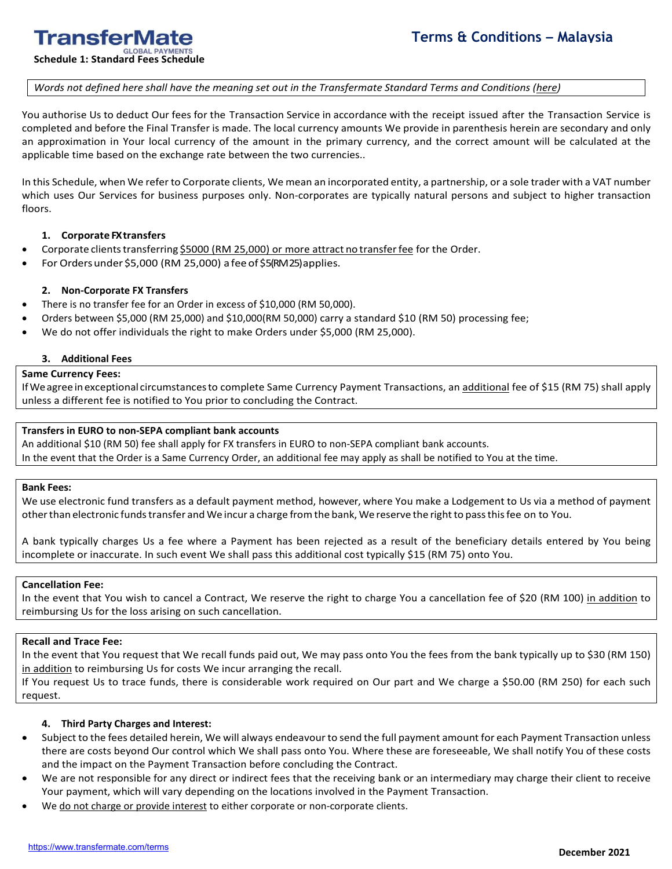## **Terms & Conditions – Malaysia**

**GLORAL PAYMENTS Schedule 1: Standard Fees Schedule**

TransferMa

Words not defined here shall have the meaning set out in the Transfermate Standard Terms and Conditions (here)

You authorise Us to deduct Our fees for the Transaction Service in accordance with the receipt issued after the Transaction Service is completed and before the Final Transfer is made. The local currency amounts We provide in parenthesis herein are secondary and only an approximation in Your local currency of the amount in the primary currency, and the correct amount will be calculated at the applicable time based on the exchange rate between the two currencies..

In this Schedule, when We refer to Corporate clients, We mean an incorporated entity, a partnership, or a sole trader with a VAT number which uses Our Services for business purposes only. Non-corporates are typically natural persons and subject to higher transaction floors.

#### **1. Corporate FX transfers**

- Corporate clients transferring \$5000 (RM 25,000) or more attract no transfer fee for the Order.
- For Ordersunder \$5,000 (RM 25,000) a feeof \$5(RM 25) applies.

#### **2. Non-Corporate FX Transfers**

- There is no transfer fee for an Order in excess of \$10,000 (RM 50,000).
- Orders between \$5,000 (RM 25,000) and \$10,000(RM 50,000) carry a standard \$10 (RM 50) processing fee;
- We do not offer individuals the right to make Orders under \$5,000 (RM 25,000).

#### **3. Additional Fees**

#### **Same Currency Fees:**

IfWeagreeinexceptional circumstancesto complete Same Currency Payment Transactions, an additional fee of \$15 (RM 75) shall apply unless a different fee is notified to You prior to concluding the Contract.

#### **Transfers in EURO to non-SEPA compliant bank accounts**

An additional \$10 (RM 50) fee shall apply for FX transfers in EURO to non-SEPA compliant bank accounts. In the event that the Order is a Same Currency Order, an additional fee may apply as shall be notified to You at the time.

#### **Bank Fees:**

We use electronic fund transfers as a default payment method, however, where You make a Lodgement to Us via a method of payment other than electronic funds transfer and We incur a charge from the bank, We reserve the right to pass this fee on to You.

A bank typically charges Us a fee where a Payment has been rejected as a result of the beneficiary details entered by You being incomplete or inaccurate. In such event We shall pass this additional cost typically \$15 (RM 75) onto You.

#### **Cancellation Fee:**

In the event that You wish to cancel a Contract, We reserve the right to charge You a cancellation fee of \$20 (RM 100) in addition to reimbursing Us for the loss arising on such cancellation.

#### **Recall and Trace Fee:**

In the event that You request that We recall funds paid out, We may pass onto You the fees from the bank typically up to \$30 (RM 150) in addition to reimbursing Us for costs We incur arranging the recall.

If You request Us to trace funds, there is considerable work required on Our part and We charge a \$50.00 (RM 250) for each such request.

## **4. Third Party Charges and Interest:**

- Subject to the fees detailed herein, We will always endeavour to send the full payment amount for each Payment Transaction unless there are costs beyond Our control which We shall pass onto You. Where these are foreseeable, We shall notify You of these costs and the impact on the Payment Transaction before concluding the Contract.
- We are not responsible for any direct or indirect fees that the receiving bank or an intermediary may charge their client to receive Your payment, which will vary depending on the locations involved in the Payment Transaction.
- We do not charge or provide interest to either corporate or non-corporate clients.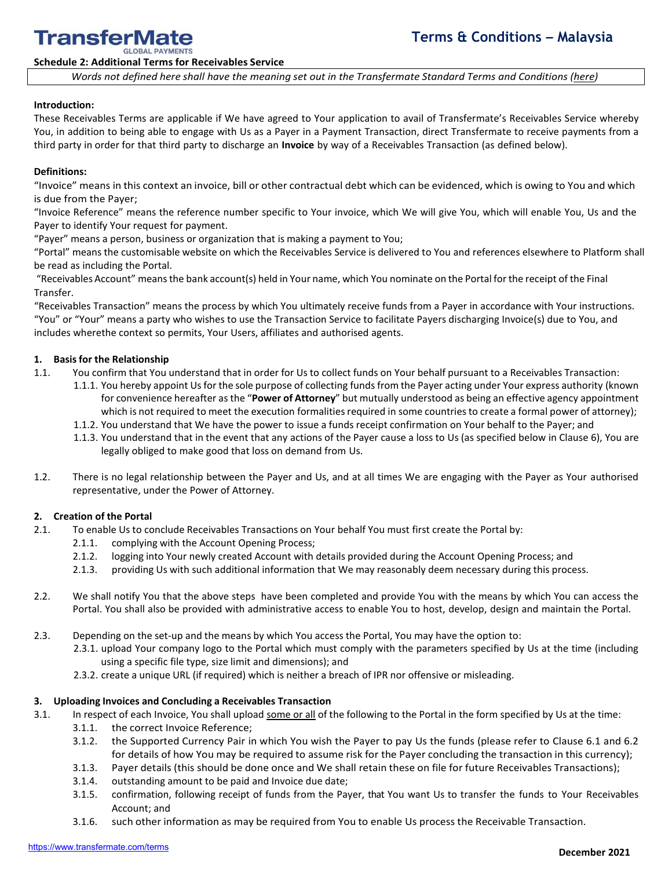**Schedule 2: Additional Terms for Receivables Service**

Words not defined here shall have the meaning set out in the Transfermate Standard Terms and Conditions (here)

### **Introduction:**

These Receivables Terms are applicable if We have agreed to Your application to avail of Transfermate's Receivables Service whereby You, in addition to being able to engage with Us as a Payer in a Payment Transaction, direct Transfermate to receive payments from a third party in order for that third party to discharge an **Invoice** by way of a Receivables Transaction (as defined below).

### **Definitions:**

"Invoice" means in this context an invoice, bill or other contractual debt which can be evidenced, which is owing to You and which is due from the Payer;

"Invoice Reference" means the reference number specific to Your invoice, which We will give You, which will enable You, Us and the Payer to identify Your request for payment.

"Payer" means a person, business or organization that is making a payment to You;

"Portal" means the customisable website on which the Receivables Service is delivered to You and references elsewhere to Platform shall be read as including the Portal.

"Receivables Account" meansthe bank account(s) held in Your name, which You nominate on the Portal for the receipt of the Final Transfer.

"Receivables Transaction" means the process by which You ultimately receive funds from a Payer in accordance with Your instructions. "You" or "Your" means a party who wishes to use the Transaction Service to facilitate Payers discharging Invoice(s) due to You, and includes wherethe context so permits, Your Users, affiliates and authorised agents.

### **1. Basis for the Relationship**

- 1.1. You confirm that You understand that in order for Us to collect funds on Your behalf pursuant to a Receivables Transaction:
	- 1.1.1. You hereby appoint Usfor the sole purpose of collecting fundsfrom the Payer acting under Your express authority (known for convenience hereafter asthe "**Power of Attorney**" but mutually understood as being an effective agency appointment which is not required to meet the execution formalities required in some countries to create a formal power of attorney);
	- 1.1.2. You understand that We have the power to issue a funds receipt confirmation on Your behalf to the Payer; and
	- 1.1.3. You understand that in the event that any actions of the Payer cause a loss to Us (as specified below in Clause 6), You are legally obliged to make good that loss on demand from Us.
- 1.2. There is no legal relationship between the Payer and Us, and at all times We are engaging with the Payer as Your authorised representative, under the Power of Attorney.

## **2. Creation of the Portal**

- 2.1. To enable Us to conclude Receivables Transactions on Your behalf You must first create the Portal by:
	- 2.1.1. complying with the Account Opening Process;
	- 2.1.2. logging into Your newly created Account with details provided during the Account Opening Process; and
	- 2.1.3. providing Us with such additional information that We may reasonably deem necessary during this process.
- 2.2. We shall notify You that the above steps have been completed and provide You with the means by which You can access the Portal. You shall also be provided with administrative access to enable You to host, develop, design and maintain the Portal.
- 2.3. Depending on the set-up and the means by which You access the Portal, You may have the option to:
	- 2.3.1. upload Your company logo to the Portal which must comply with the parameters specified by Us at the time (including using a specific file type, size limit and dimensions); and
	- 2.3.2. create a unique URL (if required) which is neither a breach of IPR nor offensive or misleading.

#### **3. Uploading Invoices and Concluding a Receivables Transaction**

- 3.1. In respect of each Invoice, You shall upload some or all of the following to the Portal in the form specified by Us at the time:
	- 3.1.1. the correct Invoice Reference;
	- 3.1.2. the Supported Currency Pair in which You wish the Payer to pay Us the funds (please refer to Clause 6.1 and 6.2 for details of how You may be required to assume risk for the Payer concluding the transaction in this currency);
	- 3.1.3. Payer details (this should be done once and We shall retain these on file for future Receivables Transactions);
	- 3.1.4. outstanding amount to be paid and Invoice due date;
	- 3.1.5. confirmation, following receipt of funds from the Payer, that You want Us to transfer the funds to Your Receivables Account; and
	- 3.1.6. such other information as may be required from You to enable Us process the Receivable Transaction.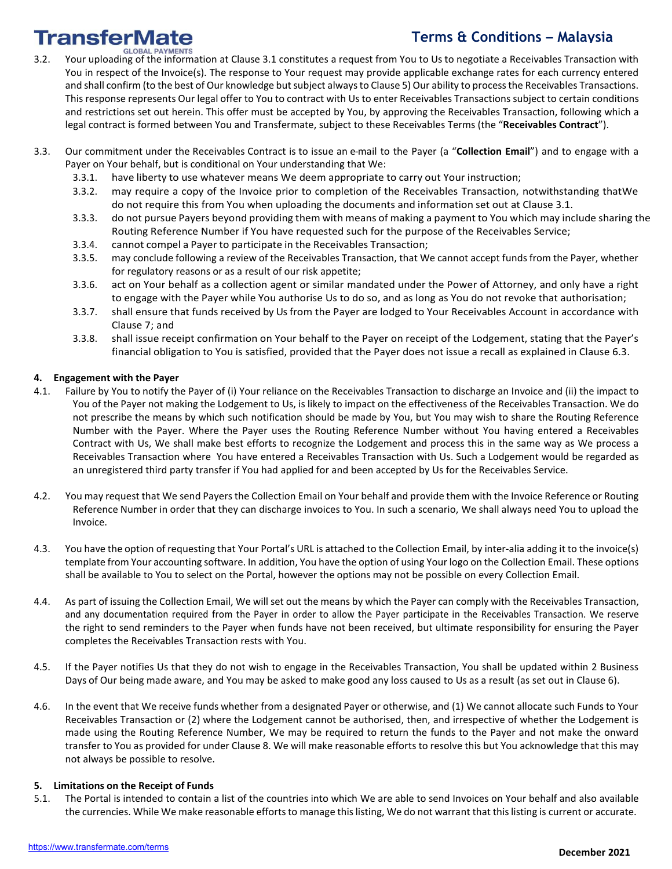## **Terms & Conditions – Malaysia**

- 3.2. Your uploading of the information at Clause 3.1 constitutes a request from You to Us to negotiate a Receivables Transaction with You in respect of the Invoice(s). The response to Your request may provide applicable exchange rates for each currency entered and shall confirm (to the best of Our knowledge but subject always to Clause 5) Our ability to process the Receivables Transactions. This response represents Our legal offer to You to contract with Us to enter Receivables Transactions subject to certain conditions and restrictions set out herein. This offer must be accepted by You, by approving the Receivables Transaction, following which a legal contract is formed between You and Transfermate, subject to these Receivables Terms (the "**Receivables Contract**").
- 3.3. Our commitment under the Receivables Contract is to issue an e-mail to the Payer (a "**Collection Email**") and to engage with a Payer on Your behalf, but is conditional on Your understanding that We:
	- 3.3.1. have liberty to use whatever means We deem appropriate to carry out Your instruction;
	- 3.3.2. may require a copy of the Invoice prior to completion of the Receivables Transaction, notwithstanding thatWe do not require this from You when uploading the documents and information set out at Clause 3.1.
	- 3.3.3. do not pursue Payers beyond providing them with means of making a payment to You which may include sharing the Routing Reference Number if You have requested such for the purpose of the Receivables Service;
	- 3.3.4. cannot compel a Payer to participate in the Receivables Transaction;
	- 3.3.5. may conclude following a review of the Receivables Transaction, that We cannot accept funds from the Payer, whether for regulatory reasons or as a result of our risk appetite;
	- 3.3.6. act on Your behalf as a collection agent or similar mandated under the Power of Attorney, and only have a right to engage with the Payer while You authorise Us to do so, and as long as You do not revoke that authorisation;
	- 3.3.7. shall ensure that funds received by Us from the Payer are lodged to Your Receivables Account in accordance with Clause 7; and
	- 3.3.8. shall issue receipt confirmation on Your behalf to the Payer on receipt of the Lodgement, stating that the Payer's financial obligation to You is satisfied, provided that the Payer does not issue a recall as explained in Clause 6.3.

## **4. Engagement with the Payer**

- 4.1. Failure by You to notify the Payer of (i) Your reliance on the Receivables Transaction to discharge an Invoice and (ii) the impact to You of the Payer not making the Lodgement to Us, is likely to impact on the effectiveness of the Receivables Transaction. We do not prescribe the means by which such notification should be made by You, but You may wish to share the Routing Reference Number with the Payer. Where the Payer uses the Routing Reference Number without You having entered a Receivables Contract with Us, We shall make best efforts to recognize the Lodgement and process this in the same way as We process a Receivables Transaction where You have entered a Receivables Transaction with Us. Such a Lodgement would be regarded as an unregistered third party transfer if You had applied for and been accepted by Us for the Receivables Service.
- 4.2. You may request that We send Payers the Collection Email on Your behalf and provide them with the Invoice Reference or Routing Reference Number in order that they can discharge invoices to You. In such a scenario, We shall always need You to upload the Invoice.
- 4.3. You have the option of requesting that Your Portal's URL is attached to the Collection Email, by inter-alia adding it to the invoice(s) template from Your accounting software. In addition, You have the option of using Your logo on the Collection Email. These options shall be available to You to select on the Portal, however the options may not be possible on every Collection Email.
- 4.4. As part of issuing the Collection Email, We will set out the means by which the Payer can comply with the Receivables Transaction, and any documentation required from the Payer in order to allow the Payer participate in the Receivables Transaction. We reserve the right to send reminders to the Payer when funds have not been received, but ultimate responsibility for ensuring the Payer completes the Receivables Transaction rests with You.
- 4.5. If the Payer notifies Us that they do not wish to engage in the Receivables Transaction, You shall be updated within 2 Business Days of Our being made aware, and You may be asked to make good any loss caused to Us as a result (as set out in Clause 6).
- 4.6. In the event that We receive funds whether from a designated Payer or otherwise, and (1) We cannot allocate such Funds to Your Receivables Transaction or (2) where the Lodgement cannot be authorised, then, and irrespective of whether the Lodgement is made using the Routing Reference Number, We may be required to return the funds to the Payer and not make the onward transfer to You as provided for under Clause 8. We will make reasonable efforts to resolve this but You acknowledge that this may not always be possible to resolve.

#### **5. Limitations on the Receipt of Funds**

5.1. The Portal is intended to contain a list of the countries into which We are able to send Invoices on Your behalf and also available the currencies. While We make reasonable effortsto manage thislisting, We do not warrant that thislisting is current or accurate.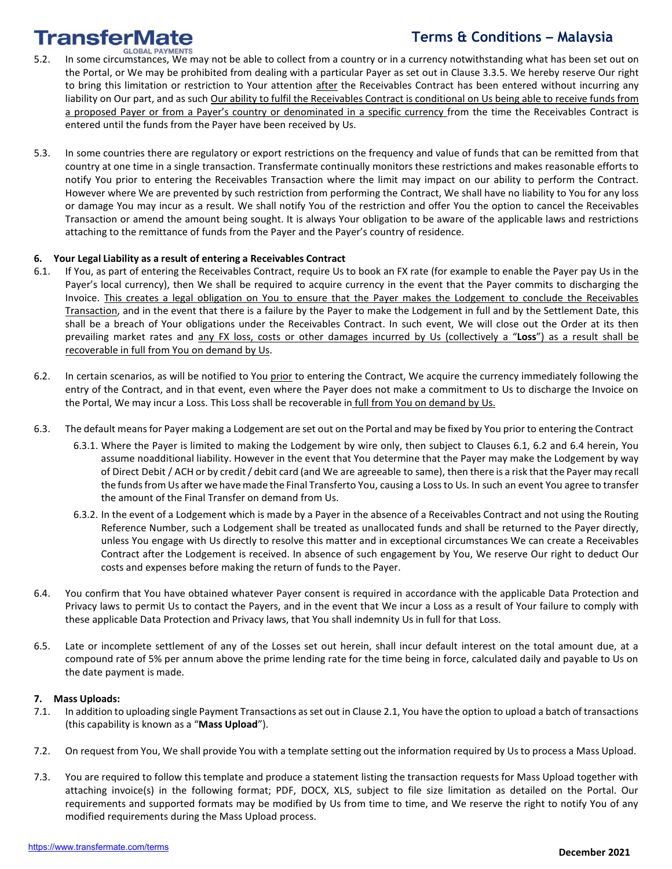## **Terms & Conditions – Malaysia**

- 5.2. In some circumstances, We may not be able to collect from a country or in a currency notwithstanding what has been set out on the Portal, or We may be prohibited from dealing with a particular Payer as set out in Clause 3.3.5. We hereby reserve Our right to bring this limitation or restriction to Your attention after the Receivables Contract has been entered without incurring any liability on Our part, and as such Our ability to fulfil the Receivables Contract is conditional on Us being able to receive funds from a proposed Payer or from a Payer's country or denominated in a specific currency from the time the Receivables Contract is entered until the funds from the Payer have been received by Us.
- 5.3. In some countries there are regulatory or export restrictions on the frequency and value of funds that can be remitted from that country at one time in a single transaction. Transfermate continually monitors these restrictions and makes reasonable efforts to notify You prior to entering the Receivables Transaction where the limit may impact on our ability to perform the Contract. However where We are prevented by such restriction from performing the Contract, We shall have no liability to You for any loss or damage You may incur as a result. We shall notify You of the restriction and offer You the option to cancel the Receivables Transaction or amend the amount being sought. It is always Your obligation to be aware of the applicable laws and restrictions attaching to the remittance of funds from the Payer and the Payer's country of residence.

#### **6. Your Legal Liability as a result of entering a Receivables Contract**

- 6.1. If You, as part of entering the Receivables Contract, require Us to book an FX rate (for example to enable the Payer pay Us in the Payer's local currency), then We shall be required to acquire currency in the event that the Payer commits to discharging the Invoice. This creates a legal obligation on You to ensure that the Payer makes the Lodgement to conclude the Receivables Transaction, and in the event that there is a failure by the Payer to make the Lodgement in full and by the Settlement Date, this shall be a breach of Your obligations under the Receivables Contract. In such event, We will close out the Order at its then prevailing market rates and any FX loss, costs or other damages incurred by Us (collectively a "**Loss**") as a result shall be recoverable in full from You on demand by Us.
- 6.2. In certain scenarios, as will be notified to You prior to entering the Contract, We acquire the currency immediately following the entry of the Contract, and in that event, even where the Payer does not make a commitment to Us to discharge the Invoice on the Portal, We may incur a Loss. This Loss shall be recoverable in full from You on demand by Us.
- 6.3. The default meansfor Payer making a Lodgement are set out on the Portal and may be fixed by You prior to entering the Contract
	- 6.3.1. Where the Payer is limited to making the Lodgement by wire only, then subject to Clauses 6.1, 6.2 and 6.4 herein, You assume noadditional liability. However in the event that You determine that the Payer may make the Lodgement by way of Direct Debit / ACH or by credit/ debit card (and We are agreeable to same), then there is a risk that the Payer may recall the funds from Us after we have made the Final Transferto You, causing a Loss to Us. In such an event You agree to transfer the amount of the Final Transfer on demand from Us.
	- 6.3.2. In the event of a Lodgement which is made by a Payer in the absence of a Receivables Contract and not using the Routing Reference Number, such a Lodgement shall be treated as unallocated funds and shall be returned to the Payer directly, unless You engage with Us directly to resolve this matter and in exceptional circumstances We can create a Receivables Contract after the Lodgement is received. In absence of such engagement by You, We reserve Our right to deduct Our costs and expenses before making the return of funds to the Payer.
- 6.4. You confirm that You have obtained whatever Payer consent is required in accordance with the applicable Data Protection and Privacy laws to permit Us to contact the Payers, and in the event that We incur a Loss as a result of Your failure to comply with these applicable Data Protection and Privacy laws, that You shall indemnity Us in full for that Loss.
- 6.5. Late or incomplete settlement of any of the Losses set out herein, shall incur default interest on the total amount due, at a compound rate of 5% per annum above the prime lending rate for the time being in force, calculated daily and payable to Us on the date payment is made.

#### **7. Mass Uploads:**

- 7.1. In addition to uploading single Payment Transactions asset out in Clause 2.1, You have the option to upload a batch of transactions (this capability is known as a "**Mass Upload**").
- 7.2. On request from You, We shall provide You with a template setting out the information required by Us to process a Mass Upload.
- 7.3. You are required to follow this template and produce a statement listing the transaction requests for Mass Upload together with attaching invoice(s) in the following format; PDF, DOCX, XLS, subject to file size limitation as detailed on the Portal. Our requirements and supported formats may be modified by Us from time to time, and We reserve the right to notify You of any modified requirements during the Mass Upload process.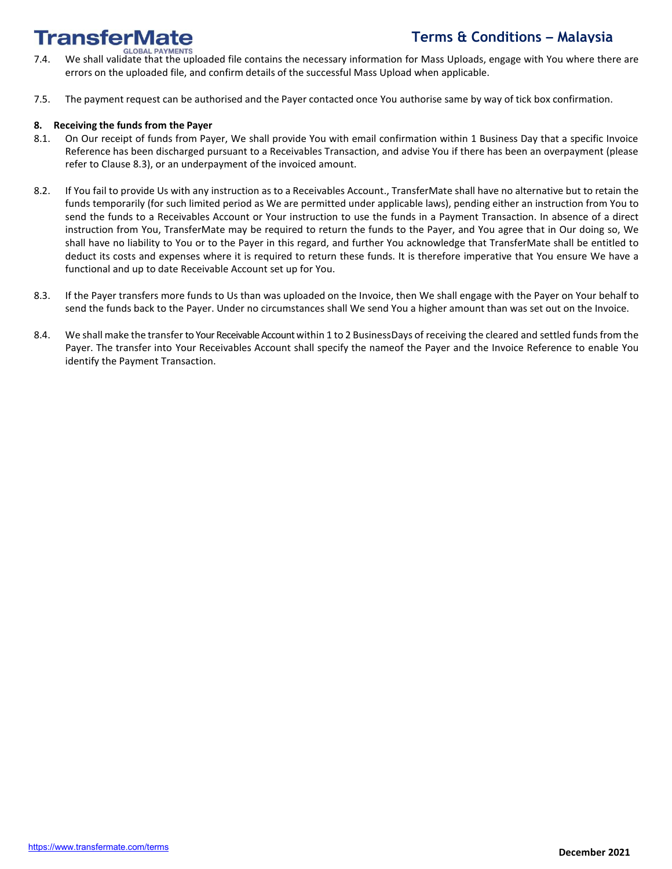- 7.4. We shall validate that the uploaded file contains the necessary information for Mass Uploads, engage with You where there are errors on the uploaded file, and confirm details of the successful Mass Upload when applicable.
- 7.5. The payment request can be authorised and the Payer contacted once You authorise same by way of tick box confirmation.

#### **8. Receiving the funds from the Payer**

- 8.1. On Our receipt of funds from Payer, We shall provide You with email confirmation within 1 Business Day that a specific Invoice Reference has been discharged pursuant to a Receivables Transaction, and advise You if there has been an overpayment (please refer to Clause 8.3), or an underpayment of the invoiced amount.
- 8.2. If You fail to provide Us with any instruction as to a Receivables Account., TransferMate shall have no alternative but to retain the funds temporarily (for such limited period as We are permitted under applicable laws), pending either an instruction from You to send the funds to a Receivables Account or Your instruction to use the funds in a Payment Transaction. In absence of a direct instruction from You, TransferMate may be required to return the funds to the Payer, and You agree that in Our doing so, We shall have no liability to You or to the Payer in this regard, and further You acknowledge that TransferMate shall be entitled to deduct its costs and expenses where it is required to return these funds. It is therefore imperative that You ensure We have a functional and up to date Receivable Account set up for You.
- 8.3. If the Payer transfers more funds to Us than was uploaded on the Invoice, then We shall engage with the Payer on Your behalf to send the funds back to the Payer. Under no circumstances shall We send You a higher amount than was set out on the Invoice.
- 8.4. We shall make the transfer to Your Receivable Account within 1 to 2 BusinessDays of receiving the cleared and settled funds from the Payer. The transfer into Your Receivables Account shall specify the nameof the Payer and the Invoice Reference to enable You identify the Payment Transaction.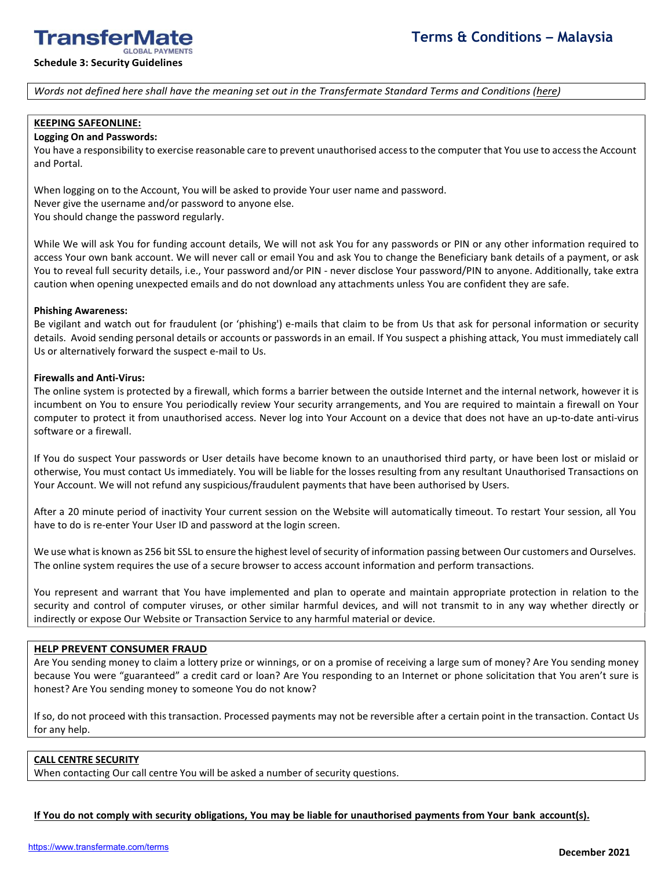

**Schedule 3: Security Guidelines**

Words not defined here shall have the meaning set out in the Transfermate Standard Terms and Conditions (here)

#### **KEEPING SAFEONLINE:**

#### **Logging On and Passwords:**

You have a responsibility to exercise reasonable care to prevent unauthorised accessto the computer that You use to accessthe Account and Portal.

When logging on to the Account, You will be asked to provide Your user name and password. Never give the username and/or password to anyone else. You should change the password regularly.

While We will ask You for funding account details, We will not ask You for any passwords or PIN or any other information required to access Your own bank account. We will never call or email You and ask You to change the Beneficiary bank details of a payment, or ask You to reveal full security details, i.e., Your password and/or PIN - never disclose Your password/PIN to anyone. Additionally, take extra caution when opening unexpected emails and do not download any attachments unless You are confident they are safe.

#### **Phishing Awareness:**

Be vigilant and watch out for fraudulent (or 'phishing') e-mails that claim to be from Us that ask for personal information or security details. Avoid sending personal details or accounts or passwords in an email. If You suspect a phishing attack, You must immediately call Us or alternatively forward the suspect e-mail to Us.

#### **Firewalls and Anti-Virus:**

The online system is protected by a firewall, which forms a barrier between the outside Internet and the internal network, however it is incumbent on You to ensure You periodically review Your security arrangements, and You are required to maintain a firewall on Your computer to protect it from unauthorised access. Never log into Your Account on a device that does not have an up-to-date anti-virus software or a firewall.

If You do suspect Your passwords or User details have become known to an unauthorised third party, or have been lost or mislaid or otherwise, You must contact Us immediately. You will be liable for the losses resulting from any resultant Unauthorised Transactions on Your Account. We will not refund any suspicious/fraudulent payments that have been authorised by Users.

After a 20 minute period of inactivity Your current session on the Website will automatically timeout. To restart Your session, all You have to do is re-enter Your User ID and password at the login screen.

We use what is known as 256 bit SSL to ensure the highest level of security of information passing between Our customers and Ourselves. The online system requires the use of a secure browser to access account information and perform transactions.

You represent and warrant that You have implemented and plan to operate and maintain appropriate protection in relation to the security and control of computer viruses, or other similar harmful devices, and will not transmit to in any way whether directly or indirectly or expose Our Website or Transaction Service to any harmful material or device.

#### **HELP PREVENT CONSUMER FRAUD**

Are You sending money to claim a lottery prize or winnings, or on a promise of receiving a large sum of money? Are You sending money because You were "guaranteed" a credit card or loan? Are You responding to an Internet or phone solicitation that You aren't sure is honest? Are You sending money to someone You do not know?

If so, do not proceed with this transaction. Processed payments may not be reversible after a certain point in the transaction. Contact Us for any help.

#### **CALL CENTRE SECURITY**

When contacting Our call centre You will be asked a number of security questions.

If You do not comply with security obligations, You may be liable for unauthorised payments from Your bank account(s).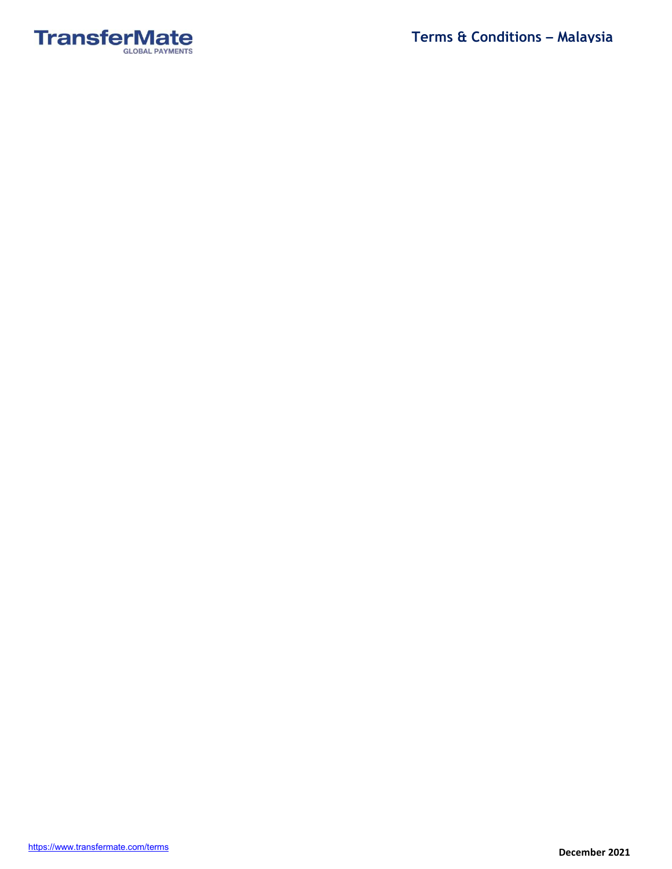